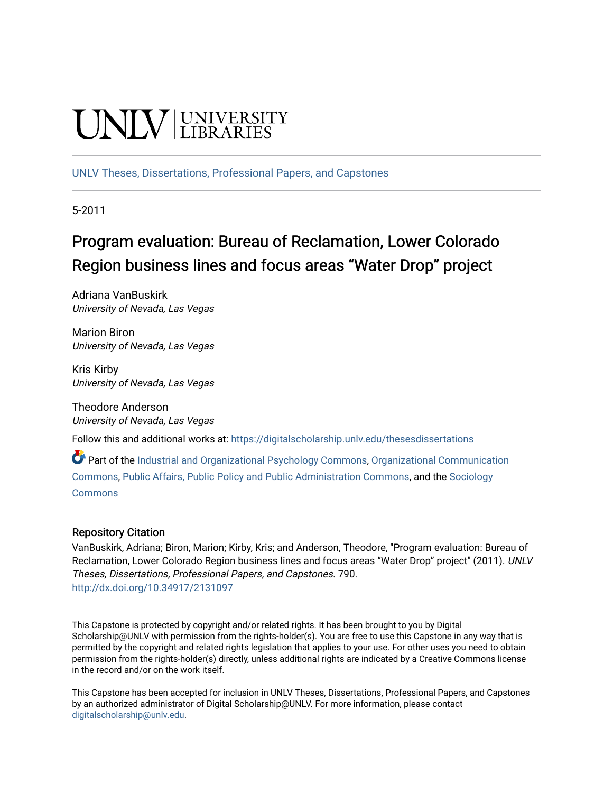# **UNIV UNIVERSITY**

[UNLV Theses, Dissertations, Professional Papers, and Capstones](https://digitalscholarship.unlv.edu/thesesdissertations)

5-2011

# Program evaluation: Bureau of Reclamation, Lower Colorado Region business lines and focus areas "Water Drop" project

Adriana VanBuskirk University of Nevada, Las Vegas

Marion Biron University of Nevada, Las Vegas

Kris Kirby University of Nevada, Las Vegas

Theodore Anderson University of Nevada, Las Vegas

Follow this and additional works at: [https://digitalscholarship.unlv.edu/thesesdissertations](https://digitalscholarship.unlv.edu/thesesdissertations?utm_source=digitalscholarship.unlv.edu%2Fthesesdissertations%2F790&utm_medium=PDF&utm_campaign=PDFCoverPages)

Part of the [Industrial and Organizational Psychology Commons,](http://network.bepress.com/hgg/discipline/412?utm_source=digitalscholarship.unlv.edu%2Fthesesdissertations%2F790&utm_medium=PDF&utm_campaign=PDFCoverPages) [Organizational Communication](http://network.bepress.com/hgg/discipline/335?utm_source=digitalscholarship.unlv.edu%2Fthesesdissertations%2F790&utm_medium=PDF&utm_campaign=PDFCoverPages)  [Commons](http://network.bepress.com/hgg/discipline/335?utm_source=digitalscholarship.unlv.edu%2Fthesesdissertations%2F790&utm_medium=PDF&utm_campaign=PDFCoverPages), [Public Affairs, Public Policy and Public Administration Commons](http://network.bepress.com/hgg/discipline/393?utm_source=digitalscholarship.unlv.edu%2Fthesesdissertations%2F790&utm_medium=PDF&utm_campaign=PDFCoverPages), and the [Sociology](http://network.bepress.com/hgg/discipline/416?utm_source=digitalscholarship.unlv.edu%2Fthesesdissertations%2F790&utm_medium=PDF&utm_campaign=PDFCoverPages)  **[Commons](http://network.bepress.com/hgg/discipline/416?utm_source=digitalscholarship.unlv.edu%2Fthesesdissertations%2F790&utm_medium=PDF&utm_campaign=PDFCoverPages)** 

### Repository Citation

VanBuskirk, Adriana; Biron, Marion; Kirby, Kris; and Anderson, Theodore, "Program evaluation: Bureau of Reclamation, Lower Colorado Region business lines and focus areas "Water Drop" project" (2011). UNLV Theses, Dissertations, Professional Papers, and Capstones. 790. <http://dx.doi.org/10.34917/2131097>

This Capstone is protected by copyright and/or related rights. It has been brought to you by Digital Scholarship@UNLV with permission from the rights-holder(s). You are free to use this Capstone in any way that is permitted by the copyright and related rights legislation that applies to your use. For other uses you need to obtain permission from the rights-holder(s) directly, unless additional rights are indicated by a Creative Commons license in the record and/or on the work itself.

This Capstone has been accepted for inclusion in UNLV Theses, Dissertations, Professional Papers, and Capstones by an authorized administrator of Digital Scholarship@UNLV. For more information, please contact [digitalscholarship@unlv.edu](mailto:digitalscholarship@unlv.edu).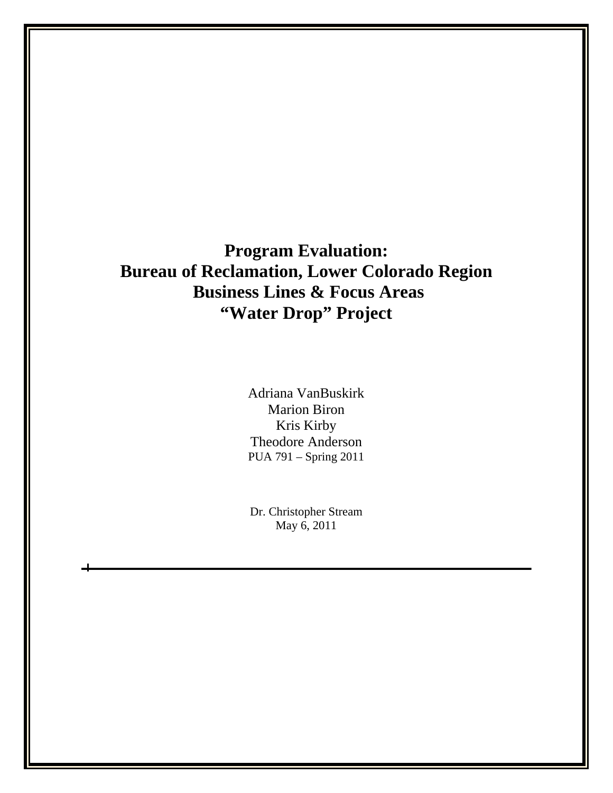# **Program Evaluation: Bureau of Reclamation, Lower Colorado Region Business Lines & Focus Areas "Water Drop" Project**

Adriana VanBuskirk Marion Biron Kris Kirby Theodore Anderson PUA 791 – Spring 2011

Dr. Christopher Stream May 6, 2011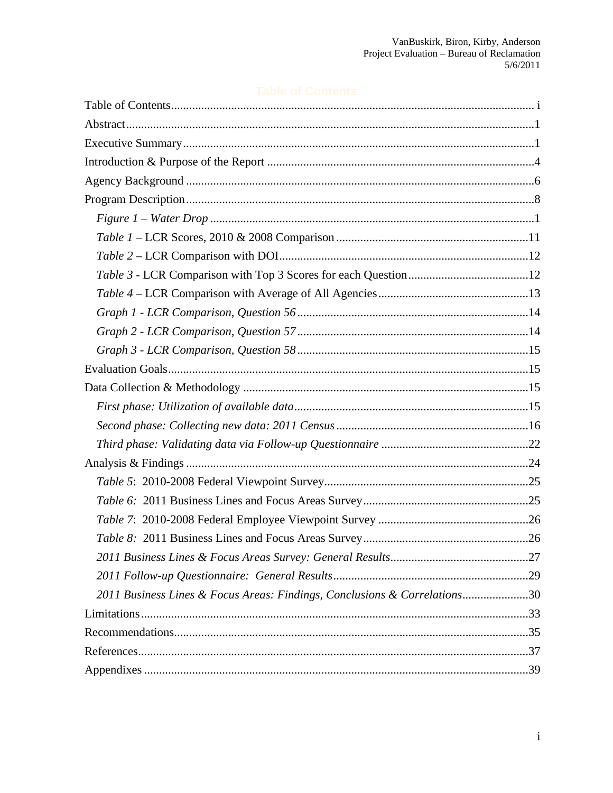| 2011 Business Lines & Focus Areas: Findings, Conclusions & Correlations30 |  |
|---------------------------------------------------------------------------|--|
|                                                                           |  |
|                                                                           |  |
|                                                                           |  |
|                                                                           |  |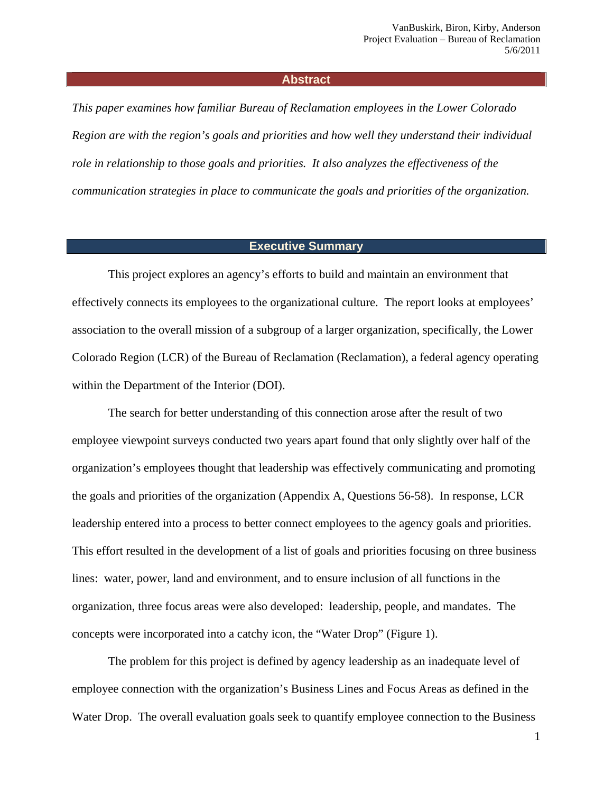#### **Abstract**

*This paper examines how familiar Bureau of Reclamation employees in the Lower Colorado Region are with the region's goals and priorities and how well they understand their individual role in relationship to those goals and priorities. It also analyzes the effectiveness of the communication strategies in place to communicate the goals and priorities of the organization.*

#### **Executive Summary**

This project explores an agency's efforts to build and maintain an environment that effectively connects its employees to the organizational culture. The report looks at employees' association to the overall mission of a subgroup of a larger organization, specifically, the Lower Colorado Region (LCR) of the Bureau of Reclamation (Reclamation), a federal agency operating within the Department of the Interior (DOI).

The search for better understanding of this connection arose after the result of two employee viewpoint surveys conducted two years apart found that only slightly over half of the organization's employees thought that leadership was effectively communicating and promoting the goals and priorities of the organization (Appendix A, Questions 56-58). In response, LCR leadership entered into a process to better connect employees to the agency goals and priorities. This effort resulted in the development of a list of goals and priorities focusing on three business lines: water, power, land and environment, and to ensure inclusion of all functions in the organization, three focus areas were also developed: leadership, people, and mandates. The concepts were incorporated into a catchy icon, the "Water Drop" (Figure 1).

The problem for this project is defined by agency leadership as an inadequate level of employee connection with the organization's Business Lines and Focus Areas as defined in the Water Drop. The overall evaluation goals seek to quantify employee connection to the Business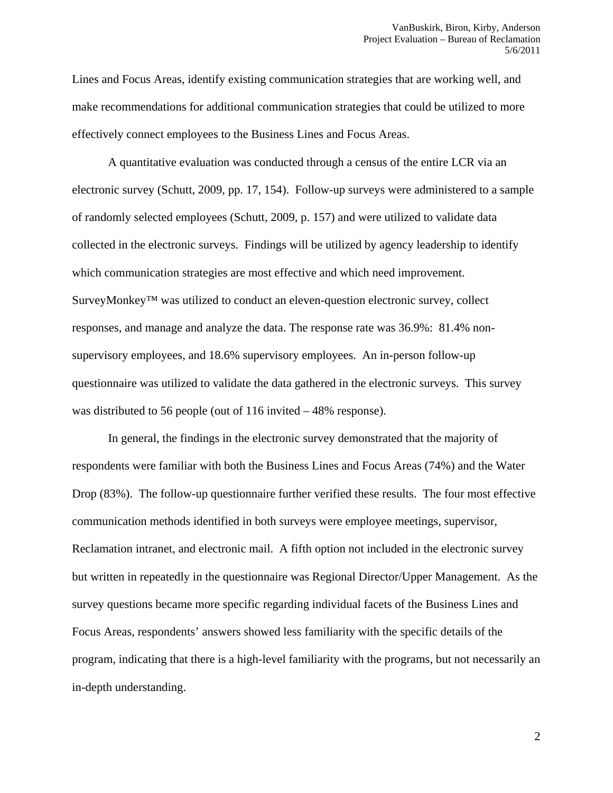Lines and Focus Areas, identify existing communication strategies that are working well, and make recommendations for additional communication strategies that could be utilized to more effectively connect employees to the Business Lines and Focus Areas.

A quantitative evaluation was conducted through a census of the entire LCR via an electronic survey (Schutt, 2009, pp. 17, 154). Follow-up surveys were administered to a sample of randomly selected employees (Schutt, 2009, p. 157) and were utilized to validate data collected in the electronic surveys. Findings will be utilized by agency leadership to identify which communication strategies are most effective and which need improvement. SurveyMonkey™ was utilized to conduct an eleven-question electronic survey, collect responses, and manage and analyze the data. The response rate was 36.9%: 81.4% nonsupervisory employees, and 18.6% supervisory employees. An in-person follow-up questionnaire was utilized to validate the data gathered in the electronic surveys. This survey was distributed to 56 people (out of 116 invited – 48% response).

In general, the findings in the electronic survey demonstrated that the majority of respondents were familiar with both the Business Lines and Focus Areas (74%) and the Water Drop (83%). The follow-up questionnaire further verified these results. The four most effective communication methods identified in both surveys were employee meetings, supervisor, Reclamation intranet, and electronic mail. A fifth option not included in the electronic survey but written in repeatedly in the questionnaire was Regional Director/Upper Management. As the survey questions became more specific regarding individual facets of the Business Lines and Focus Areas, respondents' answers showed less familiarity with the specific details of the program, indicating that there is a high-level familiarity with the programs, but not necessarily an in-depth understanding.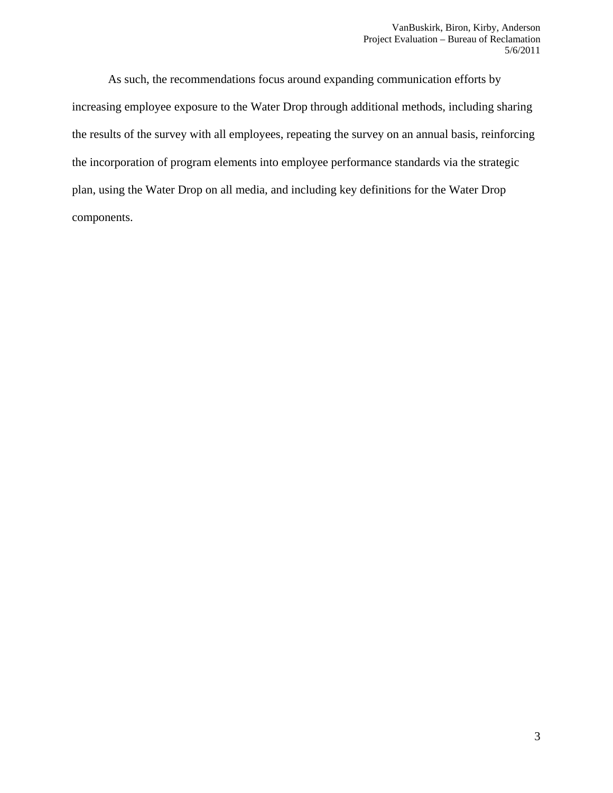As such, the recommendations focus around expanding communication efforts by increasing employee exposure to the Water Drop through additional methods, including sharing the results of the survey with all employees, repeating the survey on an annual basis, reinforcing the incorporation of program elements into employee performance standards via the strategic plan, using the Water Drop on all media, and including key definitions for the Water Drop components.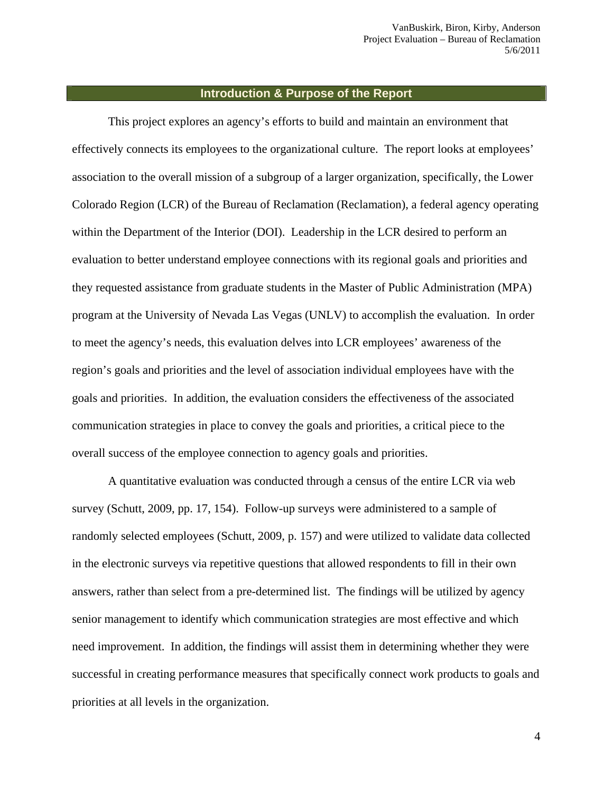#### **Introduction & Purpose of the Report**

This project explores an agency's efforts to build and maintain an environment that effectively connects its employees to the organizational culture. The report looks at employees' association to the overall mission of a subgroup of a larger organization, specifically, the Lower Colorado Region (LCR) of the Bureau of Reclamation (Reclamation), a federal agency operating within the Department of the Interior (DOI). Leadership in the LCR desired to perform an evaluation to better understand employee connections with its regional goals and priorities and they requested assistance from graduate students in the Master of Public Administration (MPA) program at the University of Nevada Las Vegas (UNLV) to accomplish the evaluation. In order to meet the agency's needs, this evaluation delves into LCR employees' awareness of the region's goals and priorities and the level of association individual employees have with the goals and priorities. In addition, the evaluation considers the effectiveness of the associated communication strategies in place to convey the goals and priorities, a critical piece to the overall success of the employee connection to agency goals and priorities.

A quantitative evaluation was conducted through a census of the entire LCR via web survey (Schutt, 2009, pp. 17, 154). Follow-up surveys were administered to a sample of randomly selected employees (Schutt, 2009, p. 157) and were utilized to validate data collected in the electronic surveys via repetitive questions that allowed respondents to fill in their own answers, rather than select from a pre-determined list. The findings will be utilized by agency senior management to identify which communication strategies are most effective and which need improvement. In addition, the findings will assist them in determining whether they were successful in creating performance measures that specifically connect work products to goals and priorities at all levels in the organization.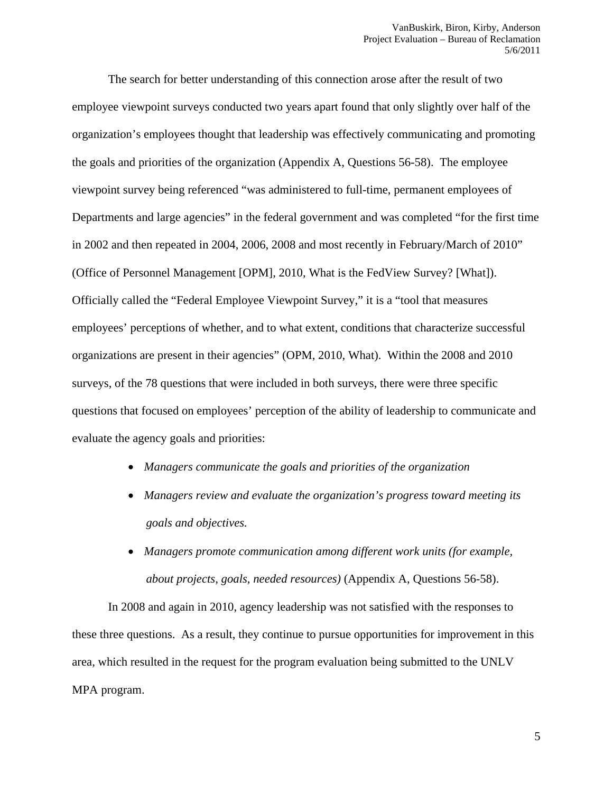The search for better understanding of this connection arose after the result of two employee viewpoint surveys conducted two years apart found that only slightly over half of the organization's employees thought that leadership was effectively communicating and promoting the goals and priorities of the organization (Appendix A, Questions 56-58). The employee viewpoint survey being referenced "was administered to full-time, permanent employees of Departments and large agencies" in the federal government and was completed "for the first time in 2002 and then repeated in 2004, 2006, 2008 and most recently in February/March of 2010" (Office of Personnel Management [OPM], 2010, What is the FedView Survey? [What]). Officially called the "Federal Employee Viewpoint Survey," it is a "tool that measures employees' perceptions of whether, and to what extent, conditions that characterize successful organizations are present in their agencies" (OPM, 2010, What). Within the 2008 and 2010 surveys, of the 78 questions that were included in both surveys, there were three specific questions that focused on employees' perception of the ability of leadership to communicate and evaluate the agency goals and priorities:

- *Managers communicate the goals and priorities of the organization*
- *Managers review and evaluate the organization's progress toward meeting its goals and objectives.*
- *Managers promote communication among different work units (for example, about projects, goals, needed resources)* (Appendix A, Questions 56-58).

In 2008 and again in 2010, agency leadership was not satisfied with the responses to these three questions. As a result, they continue to pursue opportunities for improvement in this area, which resulted in the request for the program evaluation being submitted to the UNLV MPA program.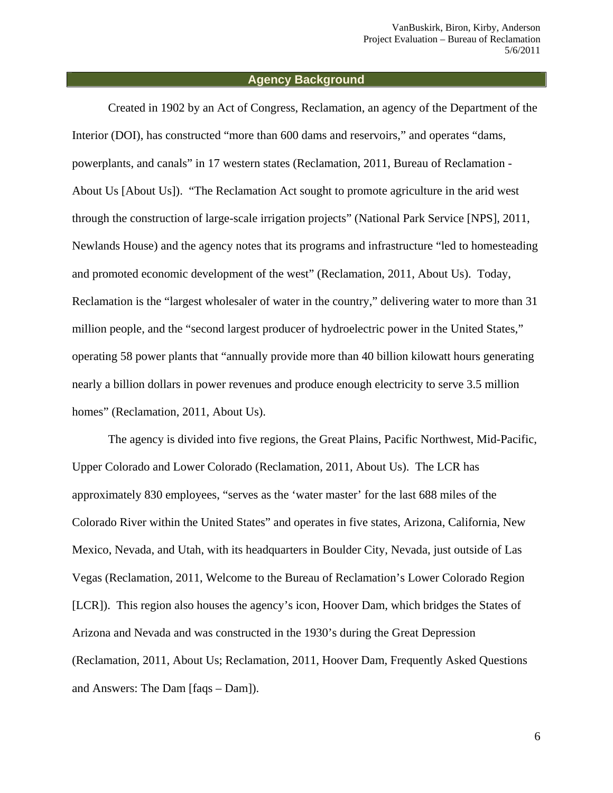#### **Agency Background**

Created in 1902 by an Act of Congress, Reclamation, an agency of the Department of the Interior (DOI), has constructed "more than 600 dams and reservoirs," and operates "dams, powerplants, and canals" in 17 western states (Reclamation, 2011, Bureau of Reclamation - About Us [About Us]). "The Reclamation Act sought to promote agriculture in the arid west through the construction of large-scale irrigation projects" (National Park Service [NPS], 2011, Newlands House) and the agency notes that its programs and infrastructure "led to homesteading and promoted economic development of the west" (Reclamation, 2011, About Us). Today, Reclamation is the "largest wholesaler of water in the country," delivering water to more than 31 million people, and the "second largest producer of hydroelectric power in the United States," operating 58 power plants that "annually provide more than 40 billion kilowatt hours generating nearly a billion dollars in power revenues and produce enough electricity to serve 3.5 million homes" (Reclamation, 2011, About Us).

The agency is divided into five regions, the Great Plains, Pacific Northwest, Mid-Pacific, Upper Colorado and Lower Colorado (Reclamation, 2011, About Us). The LCR has approximately 830 employees, "serves as the 'water master' for the last 688 miles of the Colorado River within the United States" and operates in five states, Arizona, California, New Mexico, Nevada, and Utah, with its headquarters in Boulder City, Nevada, just outside of Las Vegas (Reclamation, 2011, Welcome to the Bureau of Reclamation's Lower Colorado Region [LCR]). This region also houses the agency's icon, Hoover Dam, which bridges the States of Arizona and Nevada and was constructed in the 1930's during the Great Depression (Reclamation, 2011, About Us; Reclamation, 2011, Hoover Dam, Frequently Asked Questions and Answers: The Dam [faqs – Dam]).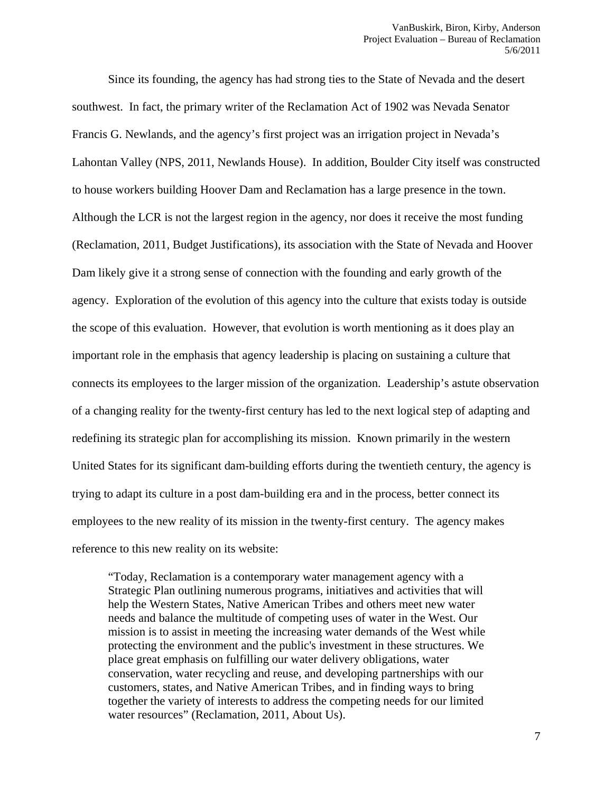Since its founding, the agency has had strong ties to the State of Nevada and the desert southwest. In fact, the primary writer of the Reclamation Act of 1902 was Nevada Senator Francis G. Newlands, and the agency's first project was an irrigation project in Nevada's Lahontan Valley (NPS, 2011, Newlands House). In addition, Boulder City itself was constructed to house workers building Hoover Dam and Reclamation has a large presence in the town. Although the LCR is not the largest region in the agency, nor does it receive the most funding (Reclamation, 2011, Budget Justifications), its association with the State of Nevada and Hoover Dam likely give it a strong sense of connection with the founding and early growth of the agency. Exploration of the evolution of this agency into the culture that exists today is outside the scope of this evaluation. However, that evolution is worth mentioning as it does play an important role in the emphasis that agency leadership is placing on sustaining a culture that connects its employees to the larger mission of the organization. Leadership's astute observation of a changing reality for the twenty-first century has led to the next logical step of adapting and redefining its strategic plan for accomplishing its mission. Known primarily in the western United States for its significant dam-building efforts during the twentieth century, the agency is trying to adapt its culture in a post dam-building era and in the process, better connect its employees to the new reality of its mission in the twenty-first century. The agency makes reference to this new reality on its website:

"Today, Reclamation is a contemporary water management agency with a Strategic Plan outlining numerous programs, initiatives and activities that will help the Western States, Native American Tribes and others meet new water needs and balance the multitude of competing uses of water in the West. Our mission is to assist in meeting the increasing water demands of the West while protecting the environment and the public's investment in these structures. We place great emphasis on fulfilling our water delivery obligations, water conservation, water recycling and reuse, and developing partnerships with our customers, states, and Native American Tribes, and in finding ways to bring together the variety of interests to address the competing needs for our limited water resources" (Reclamation, 2011, About Us).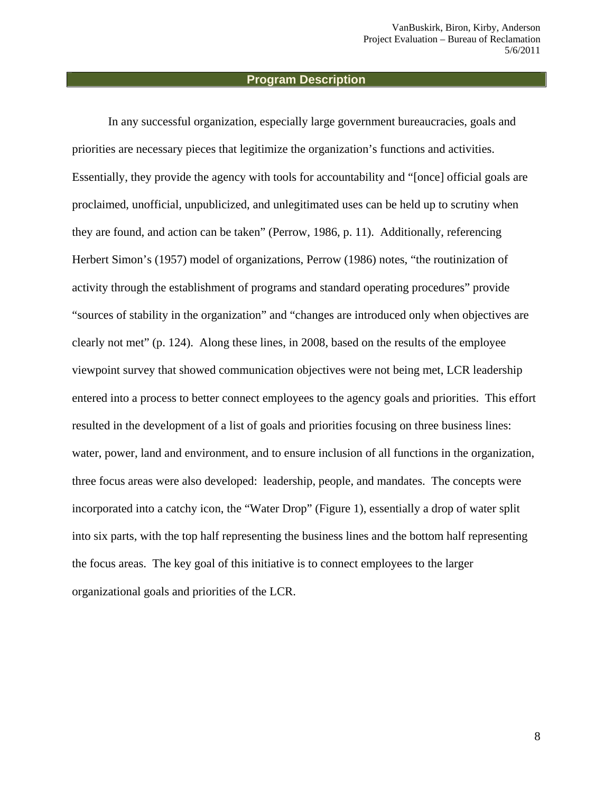#### **Program Description**

In any successful organization, especially large government bureaucracies, goals and priorities are necessary pieces that legitimize the organization's functions and activities. Essentially, they provide the agency with tools for accountability and "[once] official goals are proclaimed, unofficial, unpublicized, and unlegitimated uses can be held up to scrutiny when they are found, and action can be taken" (Perrow, 1986, p. 11). Additionally, referencing Herbert Simon's (1957) model of organizations, Perrow (1986) notes, "the routinization of activity through the establishment of programs and standard operating procedures" provide "sources of stability in the organization" and "changes are introduced only when objectives are clearly not met" (p. 124). Along these lines, in 2008, based on the results of the employee viewpoint survey that showed communication objectives were not being met, LCR leadership entered into a process to better connect employees to the agency goals and priorities. This effort resulted in the development of a list of goals and priorities focusing on three business lines: water, power, land and environment, and to ensure inclusion of all functions in the organization, three focus areas were also developed: leadership, people, and mandates. The concepts were incorporated into a catchy icon, the "Water Drop" (Figure 1), essentially a drop of water split into six parts, with the top half representing the business lines and the bottom half representing the focus areas. The key goal of this initiative is to connect employees to the larger organizational goals and priorities of the LCR.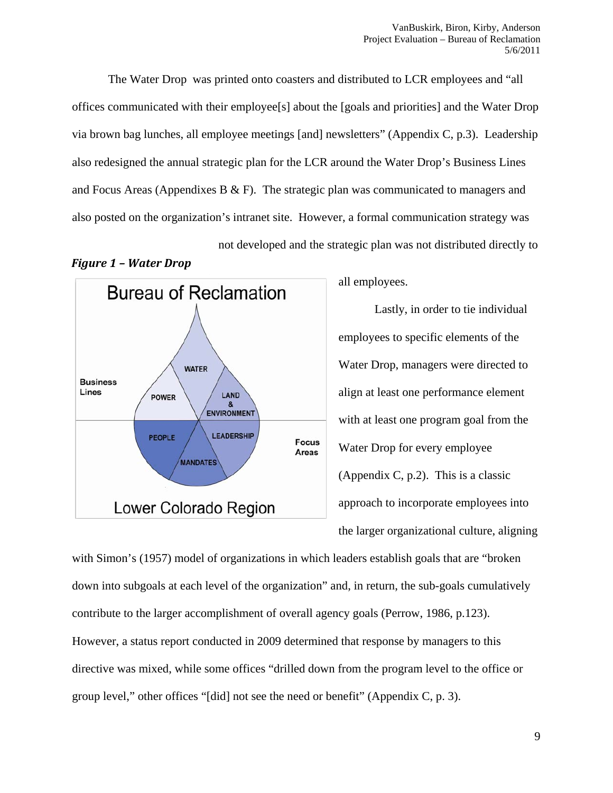The Water Drop was printed onto coasters and distributed to LCR employees and "all offices communicated with their employee[s] about the [goals and priorities] and the Water Drop via brown bag lunches, all employee meetings [and] newsletters" (Appendix C, p.3). Leadership also redesigned the annual strategic plan for the LCR around the Water Drop's Business Lines and Focus Areas (Appendixes B  $\&$  F). The strategic plan was communicated to managers and also posted on the organization's intranet site. However, a formal communication strategy was not developed and the strategic plan was not distributed directly to





all employees.

Lastly, in order to tie individual employees to specific elements of the Water Drop, managers were directed to align at least one performance element with at least one program goal from the Water Drop for every employee (Appendix C, p.2). This is a classic approach to incorporate employees into the larger organizational culture, aligning

with Simon's (1957) model of organizations in which leaders establish goals that are "broken down into subgoals at each level of the organization" and, in return, the sub-goals cumulatively contribute to the larger accomplishment of overall agency goals (Perrow, 1986, p.123). However, a status report conducted in 2009 determined that response by managers to this directive was mixed, while some offices "drilled down from the program level to the office or group level," other offices "[did] not see the need or benefit" (Appendix C, p. 3).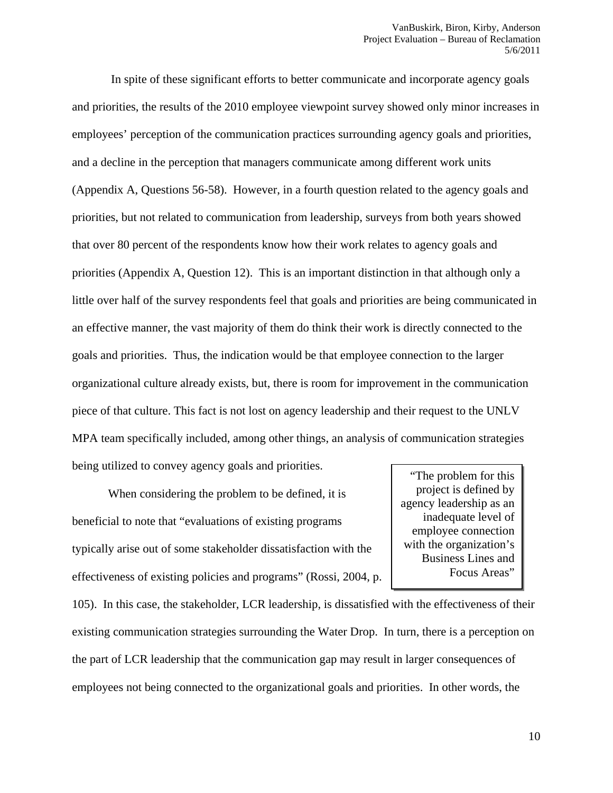In spite of these significant efforts to better communicate and incorporate agency goals and priorities, the results of the 2010 employee viewpoint survey showed only minor increases in employees' perception of the communication practices surrounding agency goals and priorities, and a decline in the perception that managers communicate among different work units (Appendix A, Questions 56-58). However, in a fourth question related to the agency goals and priorities, but not related to communication from leadership, surveys from both years showed that over 80 percent of the respondents know how their work relates to agency goals and priorities (Appendix A, Question 12). This is an important distinction in that although only a little over half of the survey respondents feel that goals and priorities are being communicated in an effective manner, the vast majority of them do think their work is directly connected to the goals and priorities. Thus, the indication would be that employee connection to the larger organizational culture already exists, but, there is room for improvement in the communication piece of that culture. This fact is not lost on agency leadership and their request to the UNLV MPA team specifically included, among other things, an analysis of communication strategies being utilized to convey agency goals and priorities.

When considering the problem to be defined, it is beneficial to note that "evaluations of existing programs typically arise out of some stakeholder dissatisfaction with the effectiveness of existing policies and programs" (Rossi, 2004, p.

"The problem for this project is defined by agency leadership as an inadequate level of employee connection with the organization's Business Lines and Focus Areas"

105). In this case, the stakeholder, LCR leadership, is dissatisfied with the effectiveness of their existing communication strategies surrounding the Water Drop. In turn, there is a perception on the part of LCR leadership that the communication gap may result in larger consequences of employees not being connected to the organizational goals and priorities. In other words, the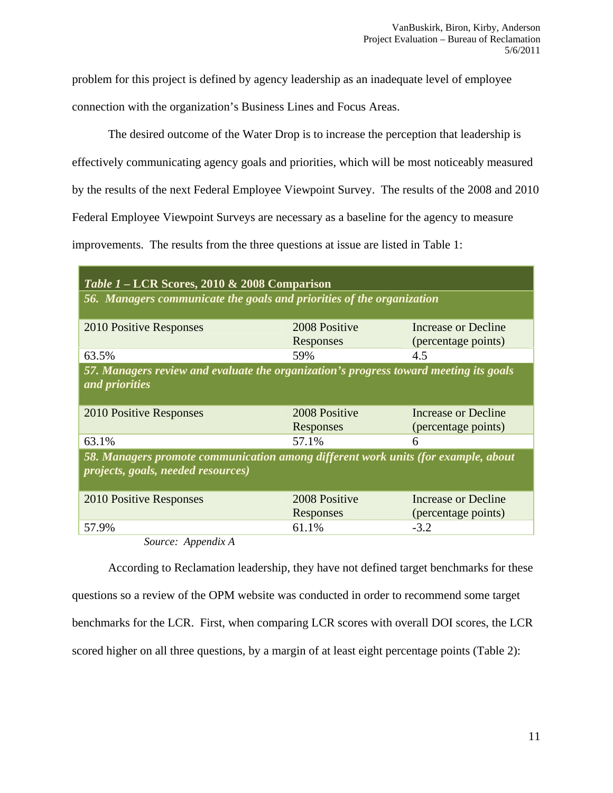problem for this project is defined by agency leadership as an inadequate level of employee connection with the organization's Business Lines and Focus Areas.

The desired outcome of the Water Drop is to increase the perception that leadership is effectively communicating agency goals and priorities, which will be most noticeably measured by the results of the next Federal Employee Viewpoint Survey. The results of the 2008 and 2010 Federal Employee Viewpoint Surveys are necessary as a baseline for the agency to measure improvements. The results from the three questions at issue are listed in Table 1:

| Table 1 – LCR Scores, 2010 & 2008 Comparison                                                                            |                            |                                                   |
|-------------------------------------------------------------------------------------------------------------------------|----------------------------|---------------------------------------------------|
| 56. Managers communicate the goals and priorities of the organization                                                   |                            |                                                   |
| 2010 Positive Responses                                                                                                 | 2008 Positive<br>Responses | <b>Increase or Decline</b><br>(percentage points) |
| 63.5%                                                                                                                   | 59%                        | 4.5                                               |
| 57. Managers review and evaluate the organization's progress toward meeting its goals<br>and priorities                 |                            |                                                   |
| 2010 Positive Responses                                                                                                 | 2008 Positive<br>Responses | Increase or Decline<br>(percentage points)        |
| 63.1%                                                                                                                   | 57.1%                      | 6                                                 |
| 58. Managers promote communication among different work units (for example, about<br>projects, goals, needed resources) |                            |                                                   |
| 2010 Positive Responses                                                                                                 | 2008 Positive<br>Responses | Increase or Decline<br>(percentage points)        |
| 57.9%                                                                                                                   | 61.1%                      | $-3.2$                                            |

*Source: Appendix A*

According to Reclamation leadership, they have not defined target benchmarks for these questions so a review of the OPM website was conducted in order to recommend some target benchmarks for the LCR. First, when comparing LCR scores with overall DOI scores, the LCR scored higher on all three questions, by a margin of at least eight percentage points (Table 2):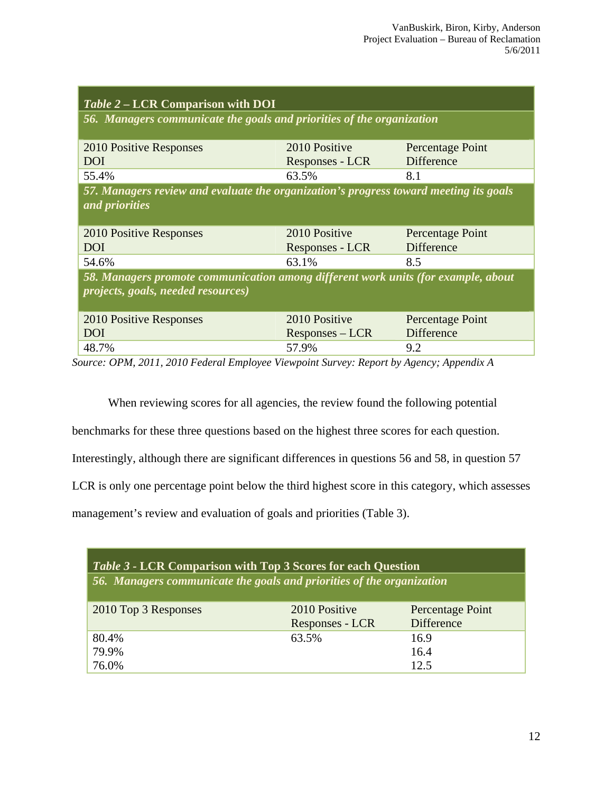| 57. Managers review and evaluate the organization's progress toward meeting its goals |
|---------------------------------------------------------------------------------------|
|                                                                                       |
|                                                                                       |
|                                                                                       |
|                                                                                       |
|                                                                                       |
| 58. Managers promote communication among different work units (for example, about     |
|                                                                                       |
|                                                                                       |
|                                                                                       |
|                                                                                       |
|                                                                                       |
|                                                                                       |

*Source: OPM, 2011, 2010 Federal Employee Viewpoint Survey: Report by Agency; Appendix A* 

When reviewing scores for all agencies, the review found the following potential

benchmarks for these three questions based on the highest three scores for each question.

Interestingly, although there are significant differences in questions 56 and 58, in question 57

LCR is only one percentage point below the third highest score in this category, which assesses

management's review and evaluation of goals and priorities (Table 3).

| <i>Table 3 - LCR Comparison with Top 3 Scores for each Question</i>   |                                  |                                       |
|-----------------------------------------------------------------------|----------------------------------|---------------------------------------|
| 56. Managers communicate the goals and priorities of the organization |                                  |                                       |
| 2010 Top 3 Responses                                                  | 2010 Positive<br>Responses - LCR | Percentage Point<br><b>Difference</b> |
| 80.4%                                                                 | 63.5%                            | 16.9                                  |
| 79.9%                                                                 |                                  | 16.4                                  |
| 76.0%                                                                 |                                  | 12.5                                  |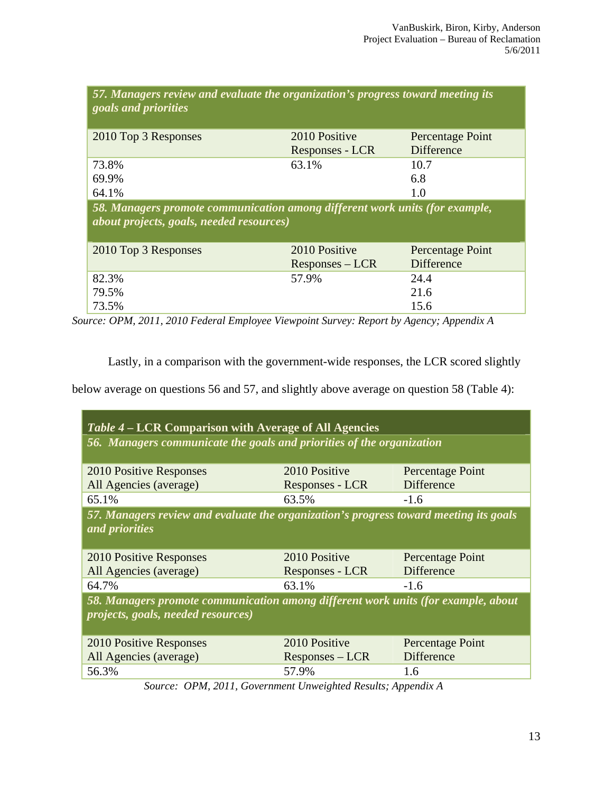| 57. Managers review and evaluate the organization's progress toward meeting its<br>goals and priorities                        |                   |                   |
|--------------------------------------------------------------------------------------------------------------------------------|-------------------|-------------------|
| 2010 Top 3 Responses                                                                                                           | 2010 Positive     | Percentage Point  |
|                                                                                                                                | Responses - LCR   | <b>Difference</b> |
| 73.8%                                                                                                                          | 63.1%             | 10.7              |
| 69.9%                                                                                                                          |                   | 6.8               |
| 64.1%                                                                                                                          |                   | 1.0               |
| 58. Managers promote communication among different work units (for example,<br><i>about projects, goals, needed resources)</i> |                   |                   |
| 2010 Top 3 Responses                                                                                                           | 2010 Positive     | Percentage Point  |
|                                                                                                                                | $Responses - LCR$ | <b>Difference</b> |
| 82.3%                                                                                                                          | 57.9%             | 24.4              |
| 79.5%                                                                                                                          |                   | 21.6              |
| 73.5%                                                                                                                          |                   | 15.6              |

*Source: OPM, 2011, 2010 Federal Employee Viewpoint Survey: Report by Agency; Appendix A* 

Lastly, in a comparison with the government-wide responses, the LCR scored slightly

below average on questions 56 and 57, and slightly above average on question 58 (Table 4):

| <i>Table 4 – LCR Comparison with Average of All Agencies</i>                                                            |                    |                   |  |  |
|-------------------------------------------------------------------------------------------------------------------------|--------------------|-------------------|--|--|
| 56. Managers communicate the goals and priorities of the organization                                                   |                    |                   |  |  |
| 2010 Positive Responses                                                                                                 | 2010 Positive      | Percentage Point  |  |  |
| All Agencies (average)                                                                                                  | Responses - LCR    | <b>Difference</b> |  |  |
| 65.1%                                                                                                                   | 63.5%              | $-1.6$            |  |  |
| 57. Managers review and evaluate the organization's progress toward meeting its goals<br>and priorities                 |                    |                   |  |  |
| 2010 Positive Responses                                                                                                 | 2010 Positive      | Percentage Point  |  |  |
| All Agencies (average)                                                                                                  | Responses - LCR    | <b>Difference</b> |  |  |
| 64.7%                                                                                                                   | 63.1%              | $-1.6$            |  |  |
| 58. Managers promote communication among different work units (for example, about<br>projects, goals, needed resources) |                    |                   |  |  |
| 2010 Positive Responses                                                                                                 | 2010 Positive      | Percentage Point  |  |  |
| All Agencies (average)                                                                                                  | $Responents - LCR$ | <b>Difference</b> |  |  |
| 56.3%                                                                                                                   | 57.9%              | 1.6               |  |  |

*Source: OPM, 2011, Government Unweighted Results; Appendix A*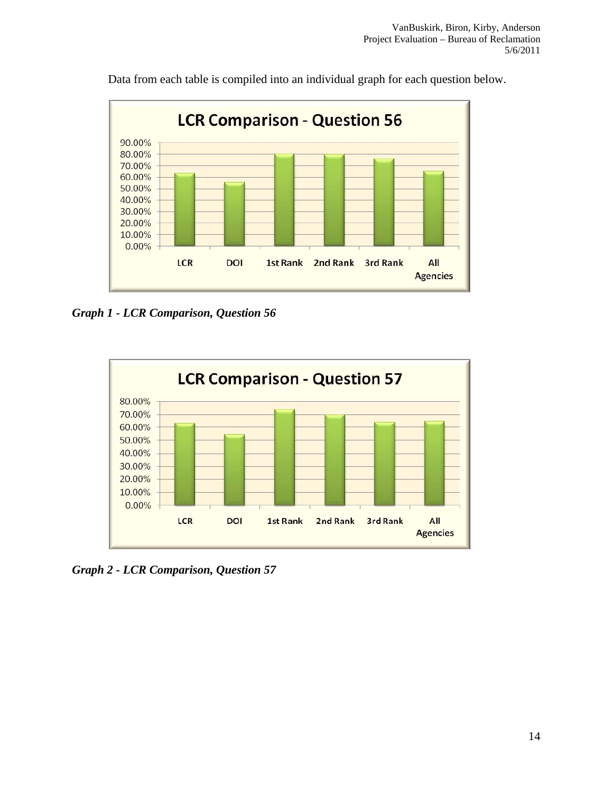

Data from each table is compiled into an individual graph for each question below.

*Graph 1 - LCR Comparison, Question 56* 



*Graph 2 - LCR Comparison, Question 57*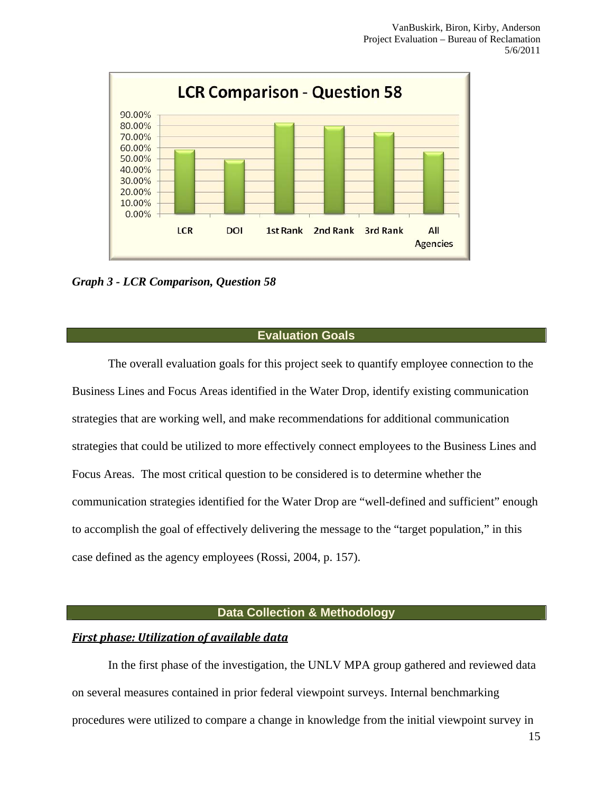

*Graph 3 - LCR Comparison, Question 58* 

#### **Evaluation Goals**

The overall evaluation goals for this project seek to quantify employee connection to the Business Lines and Focus Areas identified in the Water Drop, identify existing communication strategies that are working well, and make recommendations for additional communication strategies that could be utilized to more effectively connect employees to the Business Lines and Focus Areas. The most critical question to be considered is to determine whether the communication strategies identified for the Water Drop are "well-defined and sufficient" enough to accomplish the goal of effectively delivering the message to the "target population," in this case defined as the agency employees (Rossi, 2004, p. 157).

#### **Data Collection & Methodology**

#### *First phase: Utilization of available data*

In the first phase of the investigation, the UNLV MPA group gathered and reviewed data on several measures contained in prior federal viewpoint surveys. Internal benchmarking procedures were utilized to compare a change in knowledge from the initial viewpoint survey in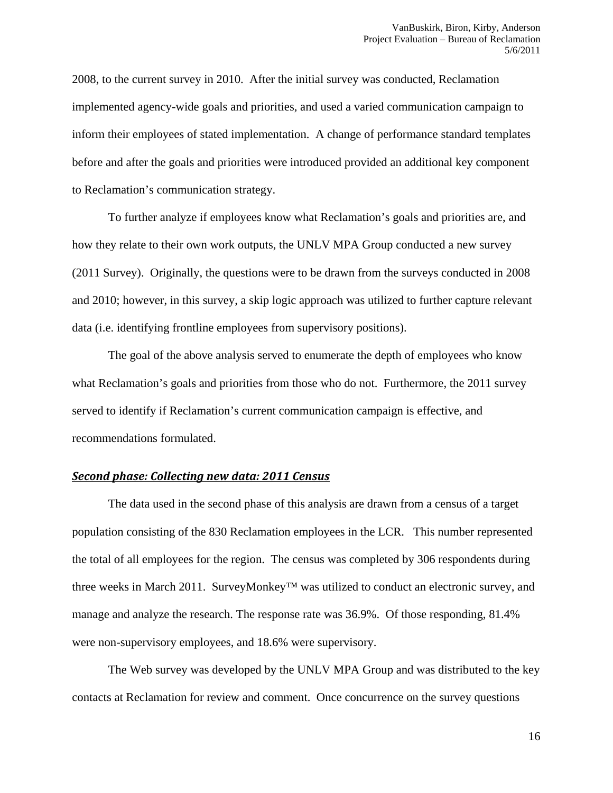2008, to the current survey in 2010. After the initial survey was conducted, Reclamation implemented agency-wide goals and priorities, and used a varied communication campaign to inform their employees of stated implementation. A change of performance standard templates before and after the goals and priorities were introduced provided an additional key component to Reclamation's communication strategy.

 To further analyze if employees know what Reclamation's goals and priorities are, and how they relate to their own work outputs, the UNLV MPA Group conducted a new survey (2011 Survey). Originally, the questions were to be drawn from the surveys conducted in 2008 and 2010; however, in this survey, a skip logic approach was utilized to further capture relevant data (i.e. identifying frontline employees from supervisory positions).

 The goal of the above analysis served to enumerate the depth of employees who know what Reclamation's goals and priorities from those who do not. Furthermore, the 2011 survey served to identify if Reclamation's current communication campaign is effective, and recommendations formulated.

#### *Second phase: Collecting new data: 2011 Census*

 The data used in the second phase of this analysis are drawn from a census of a target population consisting of the 830 Reclamation employees in the LCR. This number represented the total of all employees for the region. The census was completed by 306 respondents during three weeks in March 2011. SurveyMonkey™ was utilized to conduct an electronic survey, and manage and analyze the research. The response rate was 36.9%. Of those responding, 81.4% were non-supervisory employees, and 18.6% were supervisory.

 The Web survey was developed by the UNLV MPA Group and was distributed to the key contacts at Reclamation for review and comment. Once concurrence on the survey questions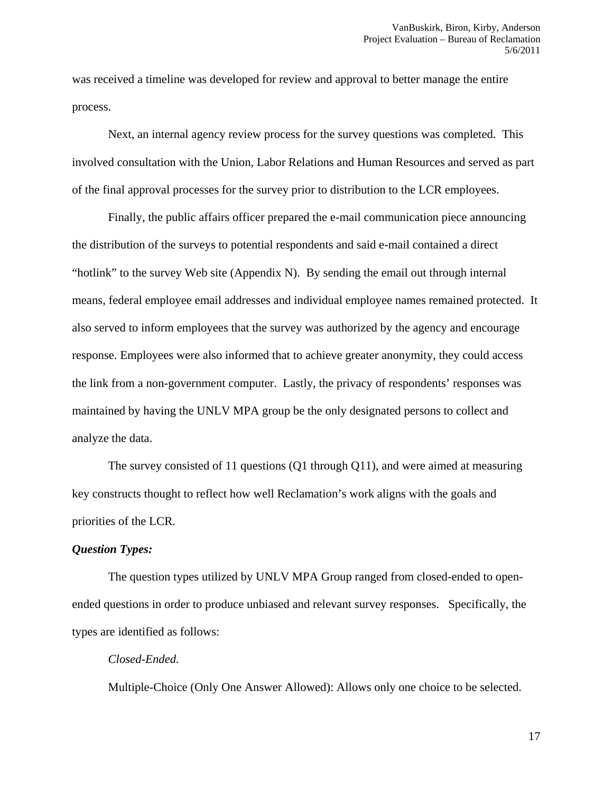was received a timeline was developed for review and approval to better manage the entire process.

 Next, an internal agency review process for the survey questions was completed. This involved consultation with the Union, Labor Relations and Human Resources and served as part of the final approval processes for the survey prior to distribution to the LCR employees.

 Finally, the public affairs officer prepared the e-mail communication piece announcing the distribution of the surveys to potential respondents and said e-mail contained a direct "hotlink" to the survey Web site (Appendix N). By sending the email out through internal means, federal employee email addresses and individual employee names remained protected. It also served to inform employees that the survey was authorized by the agency and encourage response. Employees were also informed that to achieve greater anonymity, they could access the link from a non-government computer. Lastly, the privacy of respondents' responses was maintained by having the UNLV MPA group be the only designated persons to collect and analyze the data.

 The survey consisted of 11 questions (Q1 through Q11), and were aimed at measuring key constructs thought to reflect how well Reclamation's work aligns with the goals and priorities of the LCR.

#### *Question Types:*

The question types utilized by UNLV MPA Group ranged from closed-ended to openended questions in order to produce unbiased and relevant survey responses. Specifically, the types are identified as follows:

#### *Closed-Ended.*

Multiple-Choice (Only One Answer Allowed): Allows only one choice to be selected.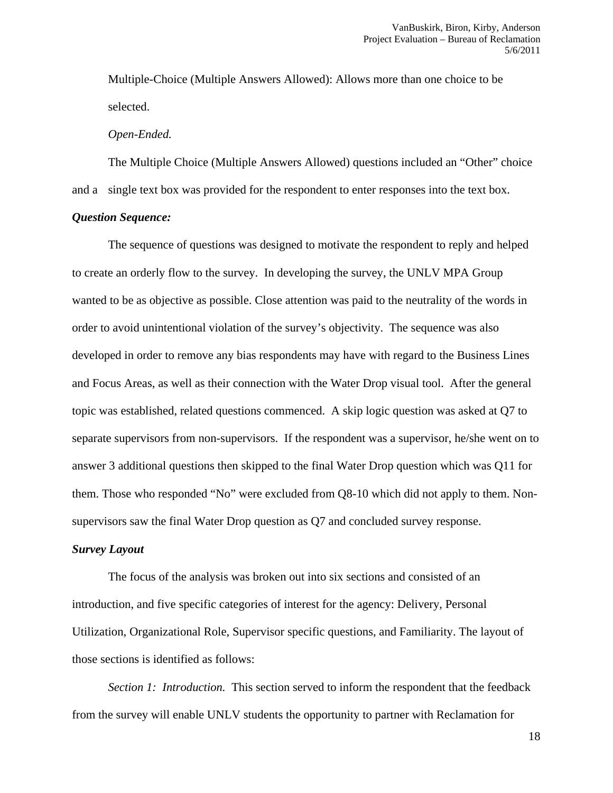Multiple-Choice (Multiple Answers Allowed): Allows more than one choice to be selected.

#### *Open-Ended.*

 The Multiple Choice (Multiple Answers Allowed) questions included an "Other" choice and a single text box was provided for the respondent to enter responses into the text box.

#### *Question Sequence:*

The sequence of questions was designed to motivate the respondent to reply and helped to create an orderly flow to the survey. In developing the survey, the UNLV MPA Group wanted to be as objective as possible. Close attention was paid to the neutrality of the words in order to avoid unintentional violation of the survey's objectivity. The sequence was also developed in order to remove any bias respondents may have with regard to the Business Lines and Focus Areas, as well as their connection with the Water Drop visual tool. After the general topic was established, related questions commenced. A skip logic question was asked at Q7 to separate supervisors from non-supervisors. If the respondent was a supervisor, he/she went on to answer 3 additional questions then skipped to the final Water Drop question which was Q11 for them. Those who responded "No" were excluded from Q8-10 which did not apply to them. Nonsupervisors saw the final Water Drop question as Q7 and concluded survey response.

#### *Survey Layout*

 The focus of the analysis was broken out into six sections and consisted of an introduction, and five specific categories of interest for the agency: Delivery, Personal Utilization, Organizational Role, Supervisor specific questions, and Familiarity. The layout of those sections is identified as follows:

 *Section 1: Introduction.* This section served to inform the respondent that the feedback from the survey will enable UNLV students the opportunity to partner with Reclamation for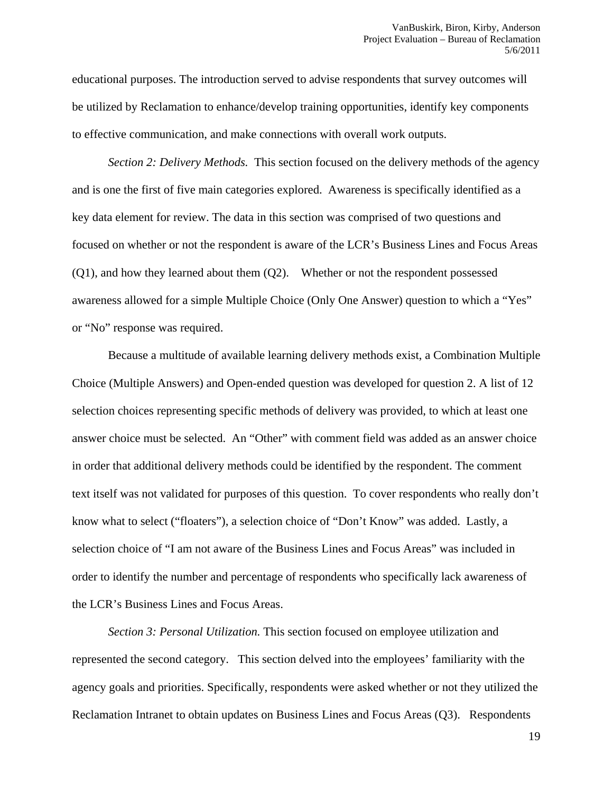educational purposes. The introduction served to advise respondents that survey outcomes will be utilized by Reclamation to enhance/develop training opportunities, identify key components to effective communication, and make connections with overall work outputs.

 *Section 2: Delivery Methods.* This section focused on the delivery methods of the agency and is one the first of five main categories explored. Awareness is specifically identified as a key data element for review. The data in this section was comprised of two questions and focused on whether or not the respondent is aware of the LCR's Business Lines and Focus Areas  $(Q1)$ , and how they learned about them  $(Q2)$ . Whether or not the respondent possessed awareness allowed for a simple Multiple Choice (Only One Answer) question to which a "Yes" or "No" response was required.

 Because a multitude of available learning delivery methods exist, a Combination Multiple Choice (Multiple Answers) and Open-ended question was developed for question 2. A list of 12 selection choices representing specific methods of delivery was provided, to which at least one answer choice must be selected. An "Other" with comment field was added as an answer choice in order that additional delivery methods could be identified by the respondent. The comment text itself was not validated for purposes of this question. To cover respondents who really don't know what to select ("floaters"), a selection choice of "Don't Know" was added. Lastly, a selection choice of "I am not aware of the Business Lines and Focus Areas" was included in order to identify the number and percentage of respondents who specifically lack awareness of the LCR's Business Lines and Focus Areas.

 *Section 3: Personal Utilization.* This section focused on employee utilization and represented the second category. This section delved into the employees' familiarity with the agency goals and priorities. Specifically, respondents were asked whether or not they utilized the Reclamation Intranet to obtain updates on Business Lines and Focus Areas (Q3). Respondents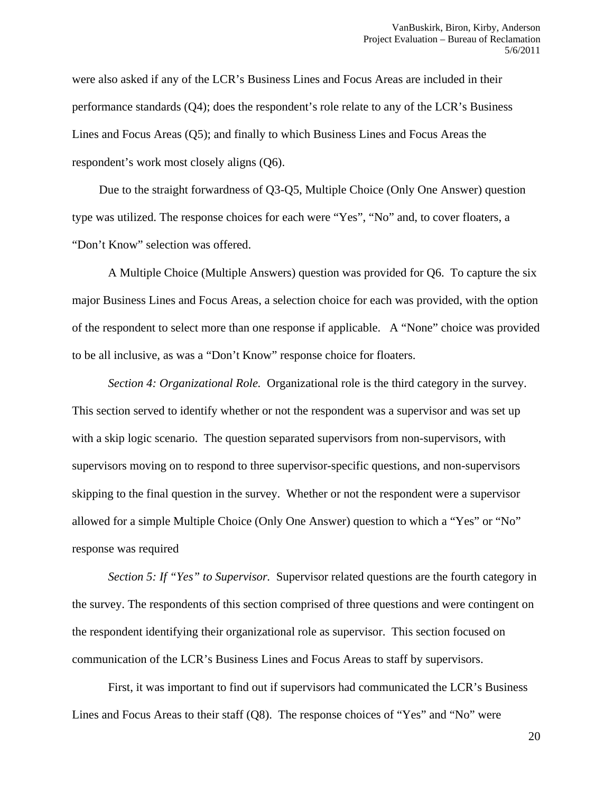were also asked if any of the LCR's Business Lines and Focus Areas are included in their performance standards (Q4); does the respondent's role relate to any of the LCR's Business Lines and Focus Areas (Q5); and finally to which Business Lines and Focus Areas the respondent's work most closely aligns (Q6).

 Due to the straight forwardness of Q3-Q5, Multiple Choice (Only One Answer) question type was utilized. The response choices for each were "Yes", "No" and, to cover floaters, a "Don't Know" selection was offered.

 A Multiple Choice (Multiple Answers) question was provided for Q6. To capture the six major Business Lines and Focus Areas, a selection choice for each was provided, with the option of the respondent to select more than one response if applicable. A "None" choice was provided to be all inclusive, as was a "Don't Know" response choice for floaters.

 *Section 4: Organizational Role.* Organizational role is the third category in the survey. This section served to identify whether or not the respondent was a supervisor and was set up with a skip logic scenario. The question separated supervisors from non-supervisors, with supervisors moving on to respond to three supervisor-specific questions, and non-supervisors skipping to the final question in the survey. Whether or not the respondent were a supervisor allowed for a simple Multiple Choice (Only One Answer) question to which a "Yes" or "No" response was required

*Section 5: If "Yes" to Supervisor.* Supervisor related questions are the fourth category in the survey. The respondents of this section comprised of three questions and were contingent on the respondent identifying their organizational role as supervisor. This section focused on communication of the LCR's Business Lines and Focus Areas to staff by supervisors.

 First, it was important to find out if supervisors had communicated the LCR's Business Lines and Focus Areas to their staff (Q8). The response choices of "Yes" and "No" were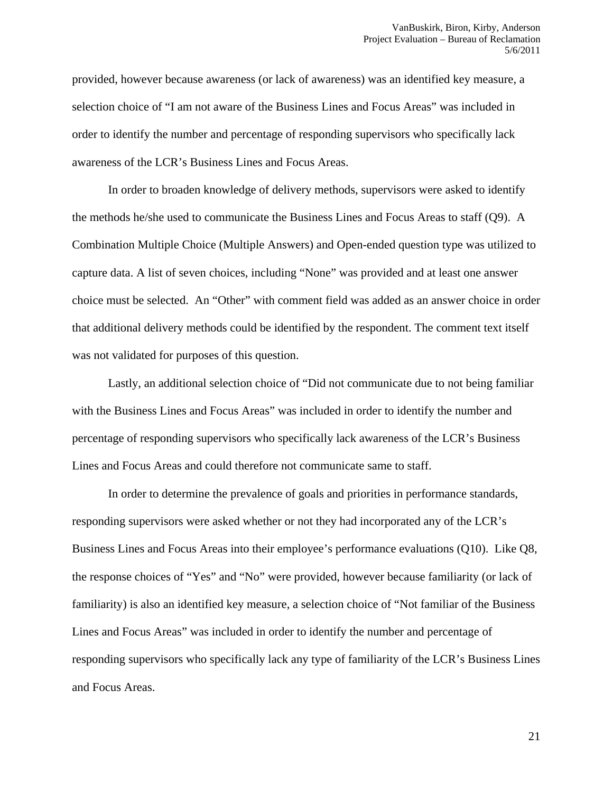provided, however because awareness (or lack of awareness) was an identified key measure, a selection choice of "I am not aware of the Business Lines and Focus Areas" was included in order to identify the number and percentage of responding supervisors who specifically lack awareness of the LCR's Business Lines and Focus Areas.

 In order to broaden knowledge of delivery methods, supervisors were asked to identify the methods he/she used to communicate the Business Lines and Focus Areas to staff (Q9). A Combination Multiple Choice (Multiple Answers) and Open-ended question type was utilized to capture data. A list of seven choices, including "None" was provided and at least one answer choice must be selected. An "Other" with comment field was added as an answer choice in order that additional delivery methods could be identified by the respondent. The comment text itself was not validated for purposes of this question.

 Lastly, an additional selection choice of "Did not communicate due to not being familiar with the Business Lines and Focus Areas" was included in order to identify the number and percentage of responding supervisors who specifically lack awareness of the LCR's Business Lines and Focus Areas and could therefore not communicate same to staff.

 In order to determine the prevalence of goals and priorities in performance standards, responding supervisors were asked whether or not they had incorporated any of the LCR's Business Lines and Focus Areas into their employee's performance evaluations (Q10). Like Q8, the response choices of "Yes" and "No" were provided, however because familiarity (or lack of familiarity) is also an identified key measure, a selection choice of "Not familiar of the Business Lines and Focus Areas" was included in order to identify the number and percentage of responding supervisors who specifically lack any type of familiarity of the LCR's Business Lines and Focus Areas.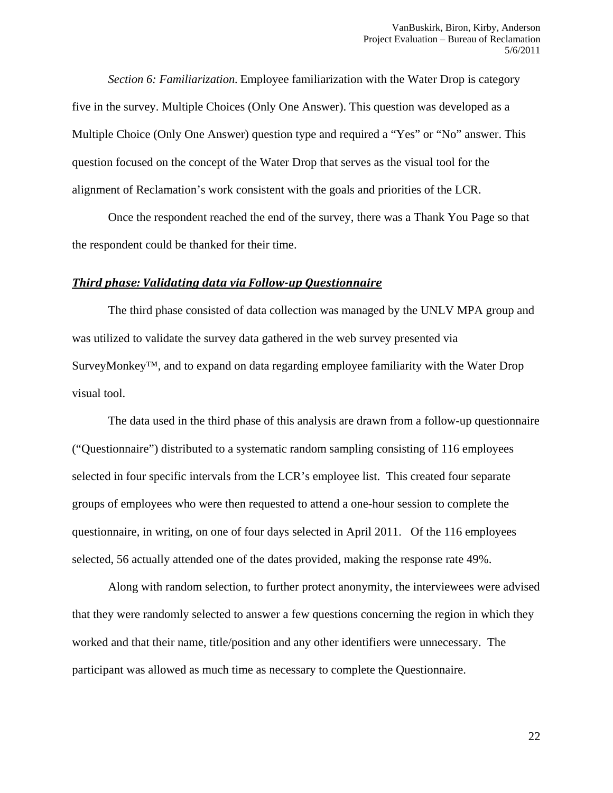*Section 6: Familiarization.* Employee familiarization with the Water Drop is category five in the survey. Multiple Choices (Only One Answer). This question was developed as a Multiple Choice (Only One Answer) question type and required a "Yes" or "No" answer. This question focused on the concept of the Water Drop that serves as the visual tool for the alignment of Reclamation's work consistent with the goals and priorities of the LCR.

 Once the respondent reached the end of the survey, there was a Thank You Page so that the respondent could be thanked for their time.

#### *Third phase: Validating data via Followup Questionnaire*

 The third phase consisted of data collection was managed by the UNLV MPA group and was utilized to validate the survey data gathered in the web survey presented via SurveyMonkey™, and to expand on data regarding employee familiarity with the Water Drop visual tool.

 The data used in the third phase of this analysis are drawn from a follow-up questionnaire ("Questionnaire") distributed to a systematic random sampling consisting of 116 employees selected in four specific intervals from the LCR's employee list. This created four separate groups of employees who were then requested to attend a one-hour session to complete the questionnaire, in writing, on one of four days selected in April 2011. Of the 116 employees selected, 56 actually attended one of the dates provided, making the response rate 49%.

 Along with random selection, to further protect anonymity, the interviewees were advised that they were randomly selected to answer a few questions concerning the region in which they worked and that their name, title/position and any other identifiers were unnecessary. The participant was allowed as much time as necessary to complete the Questionnaire.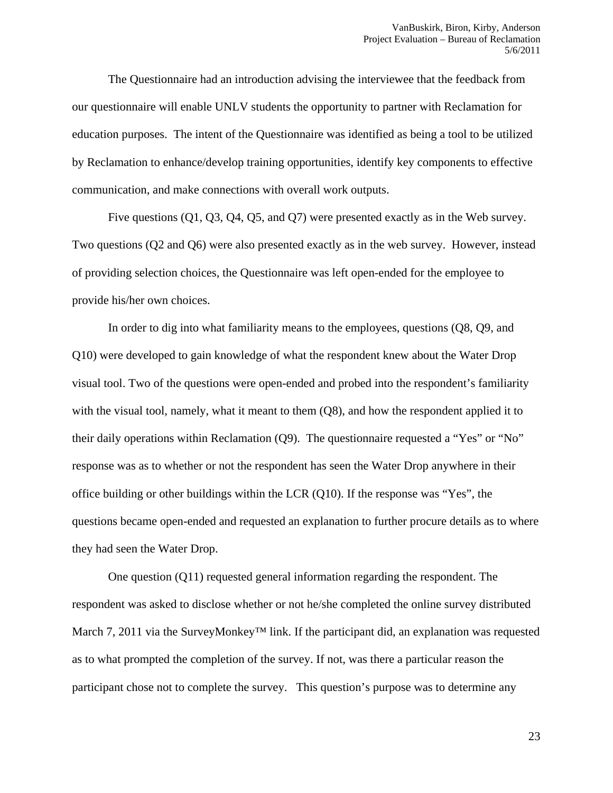The Questionnaire had an introduction advising the interviewee that the feedback from our questionnaire will enable UNLV students the opportunity to partner with Reclamation for education purposes. The intent of the Questionnaire was identified as being a tool to be utilized by Reclamation to enhance/develop training opportunities, identify key components to effective communication, and make connections with overall work outputs.

 Five questions (Q1, Q3, Q4, Q5, and Q7) were presented exactly as in the Web survey. Two questions (Q2 and Q6) were also presented exactly as in the web survey. However, instead of providing selection choices, the Questionnaire was left open-ended for the employee to provide his/her own choices.

 In order to dig into what familiarity means to the employees, questions (Q8, Q9, and Q10) were developed to gain knowledge of what the respondent knew about the Water Drop visual tool. Two of the questions were open-ended and probed into the respondent's familiarity with the visual tool, namely, what it meant to them (Q8), and how the respondent applied it to their daily operations within Reclamation (Q9). The questionnaire requested a "Yes" or "No" response was as to whether or not the respondent has seen the Water Drop anywhere in their office building or other buildings within the LCR  $(Q10)$ . If the response was "Yes", the questions became open-ended and requested an explanation to further procure details as to where they had seen the Water Drop.

 One question (Q11) requested general information regarding the respondent. The respondent was asked to disclose whether or not he/she completed the online survey distributed March 7, 2011 via the SurveyMonkey<sup>™</sup> link. If the participant did, an explanation was requested as to what prompted the completion of the survey. If not, was there a particular reason the participant chose not to complete the survey. This question's purpose was to determine any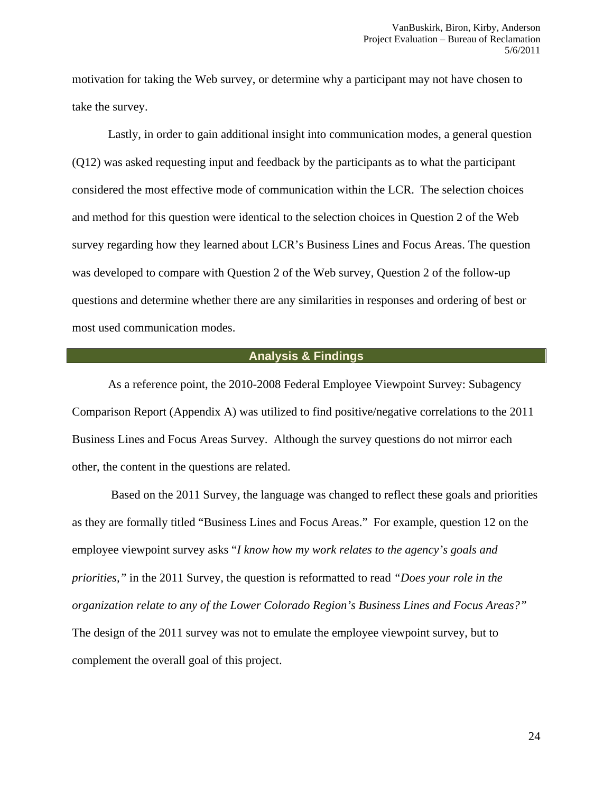motivation for taking the Web survey, or determine why a participant may not have chosen to take the survey.

 Lastly, in order to gain additional insight into communication modes, a general question (Q12) was asked requesting input and feedback by the participants as to what the participant considered the most effective mode of communication within the LCR. The selection choices and method for this question were identical to the selection choices in Question 2 of the Web survey regarding how they learned about LCR's Business Lines and Focus Areas. The question was developed to compare with Question 2 of the Web survey, Question 2 of the follow-up questions and determine whether there are any similarities in responses and ordering of best or most used communication modes.

#### **Analysis & Findings**

As a reference point, the 2010-2008 Federal Employee Viewpoint Survey: Subagency Comparison Report (Appendix A) was utilized to find positive/negative correlations to the 2011 Business Lines and Focus Areas Survey. Although the survey questions do not mirror each other, the content in the questions are related.

 Based on the 2011 Survey, the language was changed to reflect these goals and priorities as they are formally titled "Business Lines and Focus Areas." For example, question 12 on the employee viewpoint survey asks "*I know how my work relates to the agency's goals and priorities,"* in the 2011 Survey*,* the question is reformatted to read *"Does your role in the organization relate to any of the Lower Colorado Region's Business Lines and Focus Areas?"*  The design of the 2011 survey was not to emulate the employee viewpoint survey, but to complement the overall goal of this project.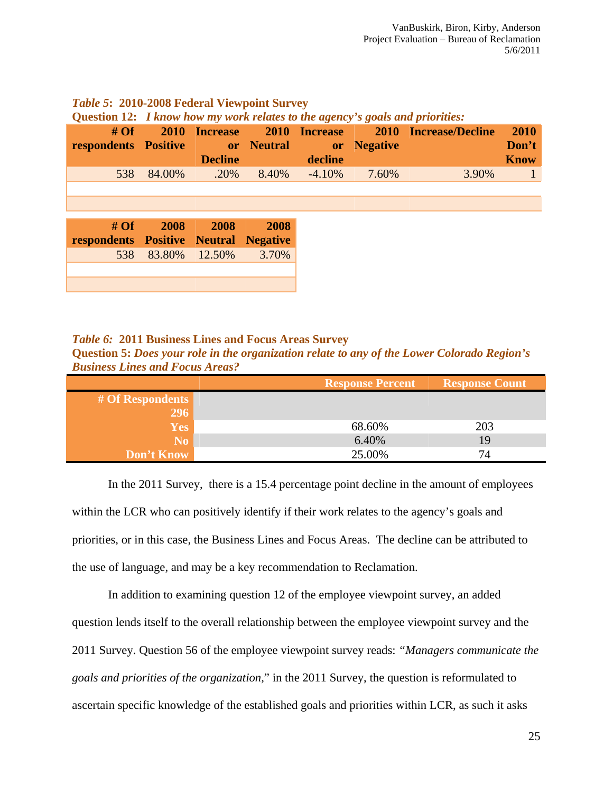| Question 12: <i>I know how my work relates to the agency's goals and priorities:</i> |        |                                                                  |       |           |             |                                     |                              |
|--------------------------------------------------------------------------------------|--------|------------------------------------------------------------------|-------|-----------|-------------|-------------------------------------|------------------------------|
| # $\overline{Of}$<br>respondents Positive                                            | 2010   | <b>Increase</b><br><b>Example 1</b> or Neutral<br><b>Decline</b> |       | decline   | or Negative | 2010 Increase 2010 Increase/Decline | 2010<br>Don't<br><b>Know</b> |
| 538                                                                                  | 84.00% | $.20\%$                                                          | 8.40% | $-4.10\%$ | 7.60%       | 3.90%                               |                              |
|                                                                                      |        |                                                                  |       |           |             |                                     |                              |
|                                                                                      |        |                                                                  |       |           |             |                                     |                              |
| #Of<br>respondents Positive Neutral Negative                                         | 2008   | 2008                                                             | 2008  |           |             |                                     |                              |
| 538                                                                                  | 83.80% | 12.50%                                                           | 3.70% |           |             |                                     |                              |
|                                                                                      |        |                                                                  |       |           |             |                                     |                              |
|                                                                                      |        |                                                                  |       |           |             |                                     |                              |

*Table 5***: 2010-2008 Federal Viewpoint Survey** 

#### *Table 6:* **2011 Business Lines and Focus Areas Survey**

**Question 5:** *Does your role in the organization relate to any of the Lower Colorado Region's Business Lines and Focus Areas?* 

|                  | <b>Response Percent</b> | <b>Response Count</b> |
|------------------|-------------------------|-----------------------|
| # Of Respondents |                         |                       |
| 296              |                         |                       |
| <b>Yes</b>       | 68.60%                  | 203                   |
| N <sub>0</sub>   | 6.40%                   | 19                    |
| Don't Know       | 25.00%                  |                       |

 In the 2011 Survey, there is a 15.4 percentage point decline in the amount of employees within the LCR who can positively identify if their work relates to the agency's goals and priorities, or in this case, the Business Lines and Focus Areas. The decline can be attributed to the use of language, and may be a key recommendation to Reclamation.

 In addition to examining question 12 of the employee viewpoint survey, an added question lends itself to the overall relationship between the employee viewpoint survey and the 2011 Survey. Question 56 of the employee viewpoint survey reads: *"Managers communicate the goals and priorities of the organization,*" in the 2011 Survey, the question is reformulated to ascertain specific knowledge of the established goals and priorities within LCR, as such it asks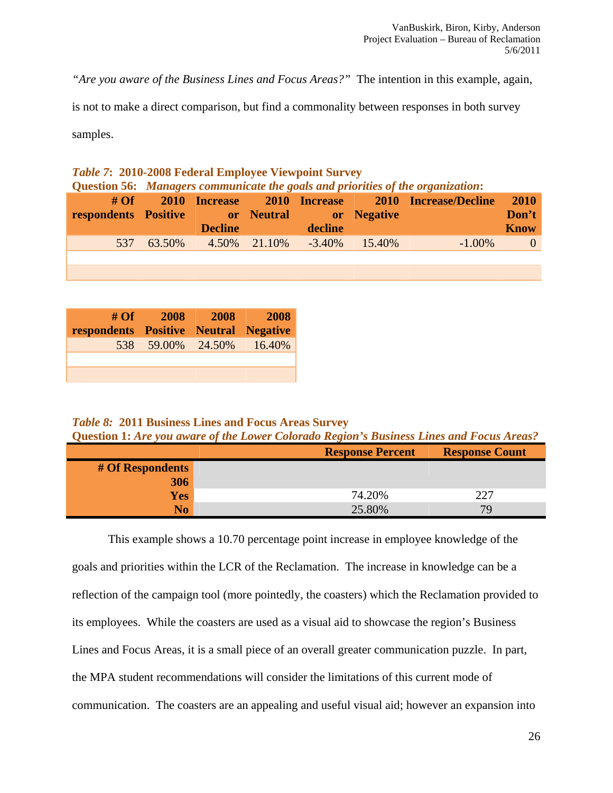*"Are you aware of the Business Lines and Focus Areas?"* The intention in this example, again,

is not to make a direct comparison, but find a commonality between responses in both survey

samples.

### *Table 7***: 2010-2008 Federal Employee Viewpoint Survey Question 56:** *Managers communicate the goals and priorities of the organization***:**

| <b>respondents Positive and Separate Service Service Service Service Service Service Service Service Service Service Service Service Service Service Service Service Service Service Service Service Service Service Service Ser</b> | <b>Decline</b>          | decline |                  |             | <b>2010</b><br>Don't<br><b>Know</b> |
|--------------------------------------------------------------------------------------------------------------------------------------------------------------------------------------------------------------------------------------|-------------------------|---------|------------------|-------------|-------------------------------------|
|                                                                                                                                                                                                                                      | 537 63.50% 4.50% 21.10% |         | $-3.40\%$ 15.40% | $-1.00\%$ 0 |                                     |
|                                                                                                                                                                                                                                      |                         |         |                  |             |                                     |

| # $Of$<br>respondents Positive Neutral Negative | <b>2008</b>       | <b>2008</b> | 2008   |
|-------------------------------------------------|-------------------|-------------|--------|
|                                                 | 538 59.00% 24.50% |             | 16.40% |
|                                                 |                   |             |        |
|                                                 |                   |             |        |

#### *Table 8:* **2011 Business Lines and Focus Areas Survey**

**Question 1:** *Are you aware of the Lower Colorado Region's Business Lines and Focus Areas?* 

|                  | <b>Response Percent</b> | <b>Response Count</b> |
|------------------|-------------------------|-----------------------|
| # Of Respondents |                         |                       |
| 306              |                         |                       |
| <b>Yes</b>       | 74.20%                  | つつつ                   |
| No.              | 25.80%                  | 79                    |

 This example shows a 10.70 percentage point increase in employee knowledge of the goals and priorities within the LCR of the Reclamation. The increase in knowledge can be a reflection of the campaign tool (more pointedly, the coasters) which the Reclamation provided to its employees. While the coasters are used as a visual aid to showcase the region's Business Lines and Focus Areas, it is a small piece of an overall greater communication puzzle. In part, the MPA student recommendations will consider the limitations of this current mode of communication. The coasters are an appealing and useful visual aid; however an expansion into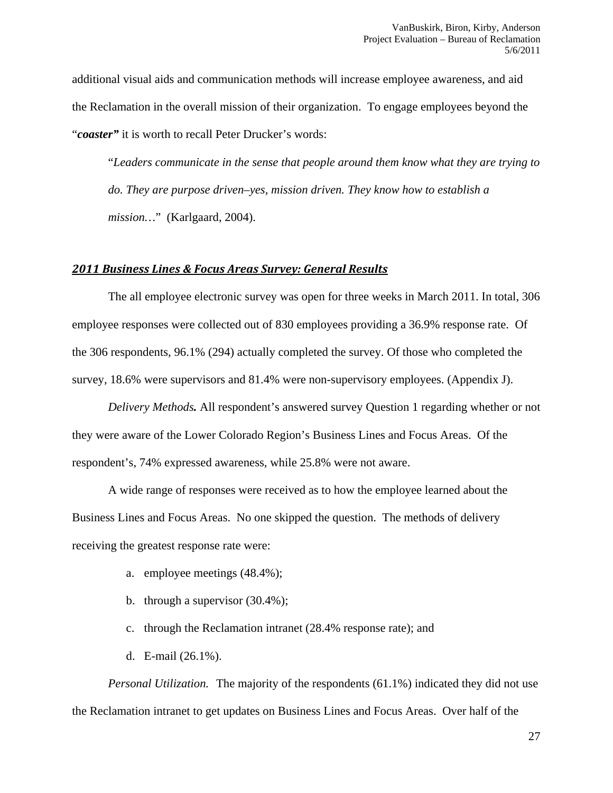additional visual aids and communication methods will increase employee awareness, and aid the Reclamation in the overall mission of their organization. To engage employees beyond the "*coaster"* it is worth to recall Peter Drucker's words:

"*Leaders communicate in the sense that people around them know what they are trying to do. They are purpose driven–yes, mission driven. They know how to establish a mission…*" (Karlgaard, 2004).

#### *2011 Business Lines & Focus Areas Survey: General Results*

 The all employee electronic survey was open for three weeks in March 2011. In total, 306 employee responses were collected out of 830 employees providing a 36.9% response rate. Of the 306 respondents, 96.1% (294) actually completed the survey. Of those who completed the survey, 18.6% were supervisors and 81.4% were non-supervisory employees. (Appendix J).

*Delivery Methods.* All respondent's answered survey Question 1 regarding whether or not they were aware of the Lower Colorado Region's Business Lines and Focus Areas. Of the respondent's, 74% expressed awareness, while 25.8% were not aware.

 A wide range of responses were received as to how the employee learned about the Business Lines and Focus Areas. No one skipped the question. The methods of delivery receiving the greatest response rate were:

- a. employee meetings (48.4%);
- b. through a supervisor (30.4%);
- c. through the Reclamation intranet (28.4% response rate); and
- d. E-mail (26.1%).

*Personal Utilization.* The majority of the respondents (61.1%) indicated they did not use the Reclamation intranet to get updates on Business Lines and Focus Areas. Over half of the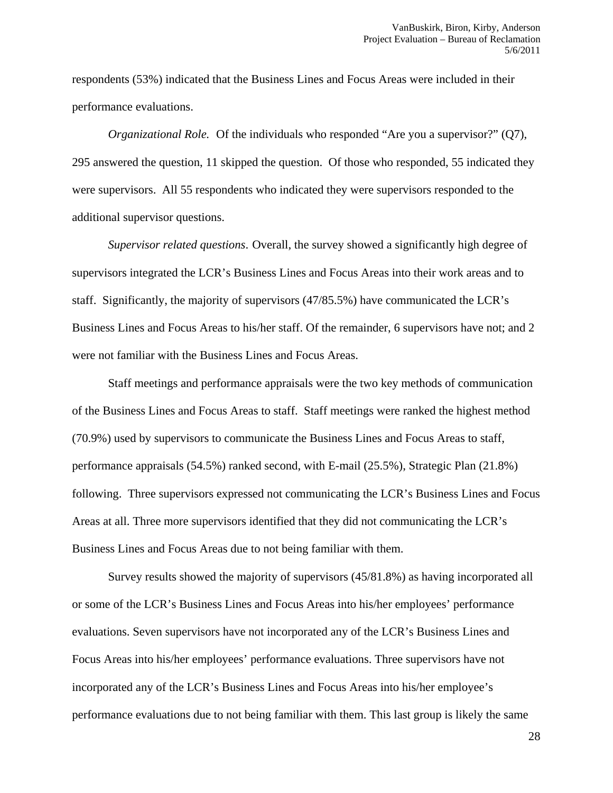respondents (53%) indicated that the Business Lines and Focus Areas were included in their performance evaluations.

*Organizational Role.* Of the individuals who responded "Are you a supervisor?" (O7), 295 answered the question, 11 skipped the question. Of those who responded, 55 indicated they were supervisors. All 55 respondents who indicated they were supervisors responded to the additional supervisor questions.

*Supervisor related questions*. Overall, the survey showed a significantly high degree of supervisors integrated the LCR's Business Lines and Focus Areas into their work areas and to staff. Significantly, the majority of supervisors (47/85.5%) have communicated the LCR's Business Lines and Focus Areas to his/her staff. Of the remainder, 6 supervisors have not; and 2 were not familiar with the Business Lines and Focus Areas.

 Staff meetings and performance appraisals were the two key methods of communication of the Business Lines and Focus Areas to staff. Staff meetings were ranked the highest method (70.9%) used by supervisors to communicate the Business Lines and Focus Areas to staff, performance appraisals (54.5%) ranked second, with E-mail (25.5%), Strategic Plan (21.8%) following. Three supervisors expressed not communicating the LCR's Business Lines and Focus Areas at all. Three more supervisors identified that they did not communicating the LCR's Business Lines and Focus Areas due to not being familiar with them.

 Survey results showed the majority of supervisors (45/81.8%) as having incorporated all or some of the LCR's Business Lines and Focus Areas into his/her employees' performance evaluations. Seven supervisors have not incorporated any of the LCR's Business Lines and Focus Areas into his/her employees' performance evaluations. Three supervisors have not incorporated any of the LCR's Business Lines and Focus Areas into his/her employee's performance evaluations due to not being familiar with them. This last group is likely the same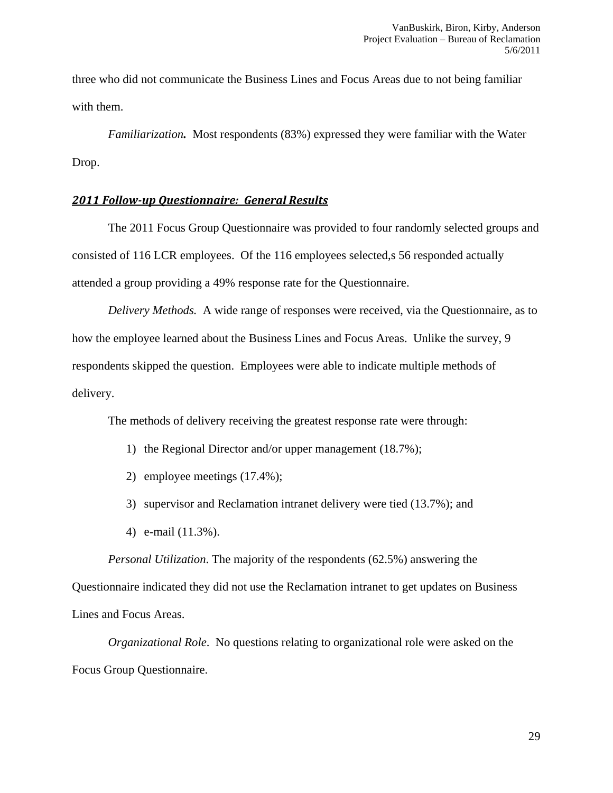three who did not communicate the Business Lines and Focus Areas due to not being familiar with them.

*Familiarization.* Most respondents (83%) expressed they were familiar with the Water Drop.

#### *2011 Followup Questionnaire: General Results*

 The 2011 Focus Group Questionnaire was provided to four randomly selected groups and consisted of 116 LCR employees. Of the 116 employees selected,s 56 responded actually attended a group providing a 49% response rate for the Questionnaire.

*Delivery Methods.* A wide range of responses were received, via the Questionnaire, as to how the employee learned about the Business Lines and Focus Areas. Unlike the survey, 9 respondents skipped the question. Employees were able to indicate multiple methods of delivery.

The methods of delivery receiving the greatest response rate were through:

- 1) the Regional Director and/or upper management (18.7%);
- 2) employee meetings (17.4%);
- 3) supervisor and Reclamation intranet delivery were tied (13.7%); and
- 4) e-mail (11.3%).

 *Personal Utilization*. The majority of the respondents (62.5%) answering the Questionnaire indicated they did not use the Reclamation intranet to get updates on Business Lines and Focus Areas.

*Organizational Role*. No questions relating to organizational role were asked on the Focus Group Questionnaire.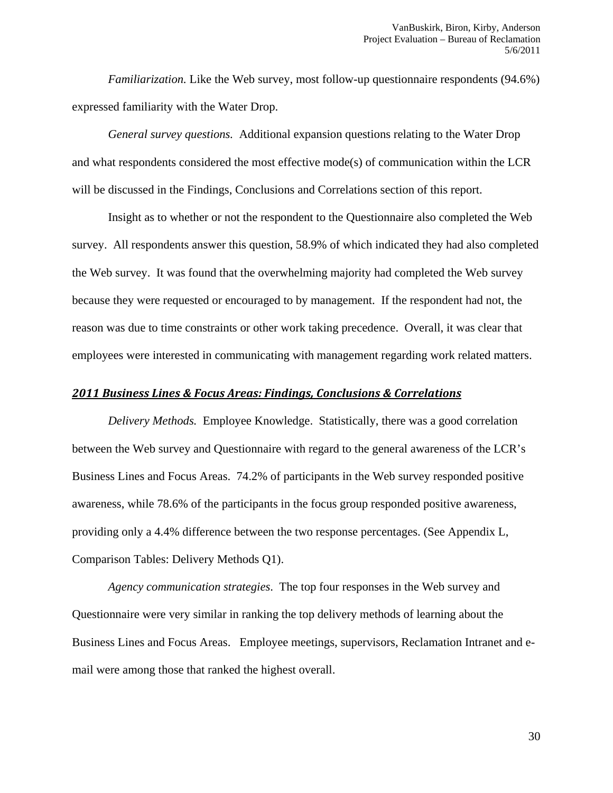*Familiarization.* Like the Web survey, most follow-up questionnaire respondents (94.6%) expressed familiarity with the Water Drop.

 *General survey questions.* Additional expansion questions relating to the Water Drop and what respondents considered the most effective mode(s) of communication within the LCR will be discussed in the Findings, Conclusions and Correlations section of this report.

 Insight as to whether or not the respondent to the Questionnaire also completed the Web survey. All respondents answer this question, 58.9% of which indicated they had also completed the Web survey. It was found that the overwhelming majority had completed the Web survey because they were requested or encouraged to by management. If the respondent had not, the reason was due to time constraints or other work taking precedence. Overall, it was clear that employees were interested in communicating with management regarding work related matters.

#### *2011 Business Lines & Focus Areas: Findings, Conclusions & Correlations*

*Delivery Methods.* Employee Knowledge. Statistically, there was a good correlation between the Web survey and Questionnaire with regard to the general awareness of the LCR's Business Lines and Focus Areas. 74.2% of participants in the Web survey responded positive awareness, while 78.6% of the participants in the focus group responded positive awareness, providing only a 4.4% difference between the two response percentages. (See Appendix L, Comparison Tables: Delivery Methods Q1).

*Agency communication strategies*. The top four responses in the Web survey and Questionnaire were very similar in ranking the top delivery methods of learning about the Business Lines and Focus Areas. Employee meetings, supervisors, Reclamation Intranet and email were among those that ranked the highest overall.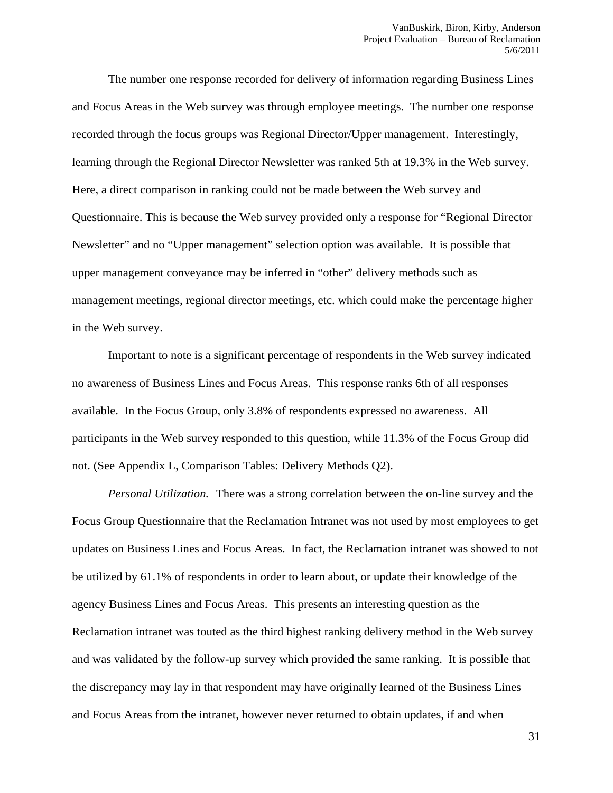The number one response recorded for delivery of information regarding Business Lines and Focus Areas in the Web survey was through employee meetings. The number one response recorded through the focus groups was Regional Director/Upper management. Interestingly, learning through the Regional Director Newsletter was ranked 5th at 19.3% in the Web survey. Here, a direct comparison in ranking could not be made between the Web survey and Questionnaire. This is because the Web survey provided only a response for "Regional Director Newsletter" and no "Upper management" selection option was available. It is possible that upper management conveyance may be inferred in "other" delivery methods such as management meetings, regional director meetings, etc. which could make the percentage higher in the Web survey.

 Important to note is a significant percentage of respondents in the Web survey indicated no awareness of Business Lines and Focus Areas. This response ranks 6th of all responses available. In the Focus Group, only 3.8% of respondents expressed no awareness. All participants in the Web survey responded to this question, while 11.3% of the Focus Group did not. (See Appendix L, Comparison Tables: Delivery Methods Q2).

*Personal Utilization.* There was a strong correlation between the on-line survey and the Focus Group Questionnaire that the Reclamation Intranet was not used by most employees to get updates on Business Lines and Focus Areas. In fact, the Reclamation intranet was showed to not be utilized by 61.1% of respondents in order to learn about, or update their knowledge of the agency Business Lines and Focus Areas. This presents an interesting question as the Reclamation intranet was touted as the third highest ranking delivery method in the Web survey and was validated by the follow-up survey which provided the same ranking. It is possible that the discrepancy may lay in that respondent may have originally learned of the Business Lines and Focus Areas from the intranet, however never returned to obtain updates, if and when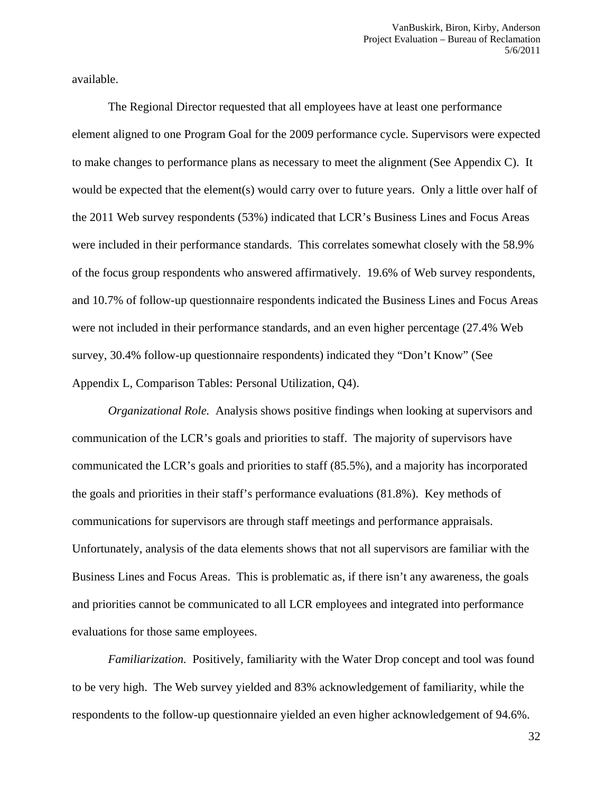available.

 The Regional Director requested that all employees have at least one performance element aligned to one Program Goal for the 2009 performance cycle. Supervisors were expected to make changes to performance plans as necessary to meet the alignment (See Appendix C). It would be expected that the element(s) would carry over to future years. Only a little over half of the 2011 Web survey respondents (53%) indicated that LCR's Business Lines and Focus Areas were included in their performance standards. This correlates somewhat closely with the 58.9% of the focus group respondents who answered affirmatively. 19.6% of Web survey respondents, and 10.7% of follow-up questionnaire respondents indicated the Business Lines and Focus Areas were not included in their performance standards, and an even higher percentage (27.4% Web survey, 30.4% follow-up questionnaire respondents) indicated they "Don't Know" (See Appendix L, Comparison Tables: Personal Utilization, Q4).

*Organizational Role.* Analysis shows positive findings when looking at supervisors and communication of the LCR's goals and priorities to staff. The majority of supervisors have communicated the LCR's goals and priorities to staff (85.5%), and a majority has incorporated the goals and priorities in their staff's performance evaluations (81.8%). Key methods of communications for supervisors are through staff meetings and performance appraisals. Unfortunately, analysis of the data elements shows that not all supervisors are familiar with the Business Lines and Focus Areas. This is problematic as, if there isn't any awareness, the goals and priorities cannot be communicated to all LCR employees and integrated into performance evaluations for those same employees.

*Familiarization.* Positively, familiarity with the Water Drop concept and tool was found to be very high. The Web survey yielded and 83% acknowledgement of familiarity, while the respondents to the follow-up questionnaire yielded an even higher acknowledgement of 94.6%.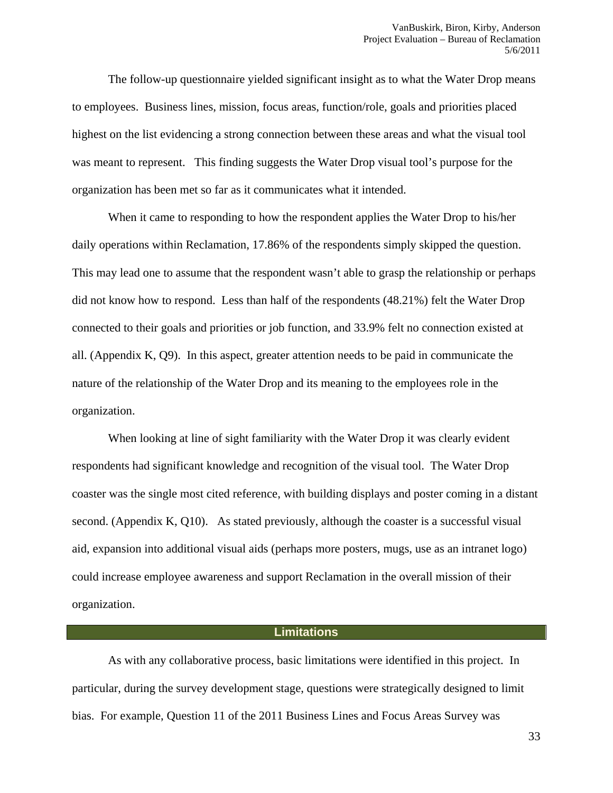The follow-up questionnaire yielded significant insight as to what the Water Drop means to employees. Business lines, mission, focus areas, function/role, goals and priorities placed highest on the list evidencing a strong connection between these areas and what the visual tool was meant to represent. This finding suggests the Water Drop visual tool's purpose for the organization has been met so far as it communicates what it intended.

 When it came to responding to how the respondent applies the Water Drop to his/her daily operations within Reclamation, 17.86% of the respondents simply skipped the question. This may lead one to assume that the respondent wasn't able to grasp the relationship or perhaps did not know how to respond. Less than half of the respondents (48.21%) felt the Water Drop connected to their goals and priorities or job function, and 33.9% felt no connection existed at all. (Appendix K, Q9). In this aspect, greater attention needs to be paid in communicate the nature of the relationship of the Water Drop and its meaning to the employees role in the organization.

 When looking at line of sight familiarity with the Water Drop it was clearly evident respondents had significant knowledge and recognition of the visual tool. The Water Drop coaster was the single most cited reference, with building displays and poster coming in a distant second. (Appendix K, Q10). As stated previously, although the coaster is a successful visual aid, expansion into additional visual aids (perhaps more posters, mugs, use as an intranet logo) could increase employee awareness and support Reclamation in the overall mission of their organization.

#### **Limitations**

As with any collaborative process, basic limitations were identified in this project. In particular, during the survey development stage, questions were strategically designed to limit bias. For example, Question 11 of the 2011 Business Lines and Focus Areas Survey was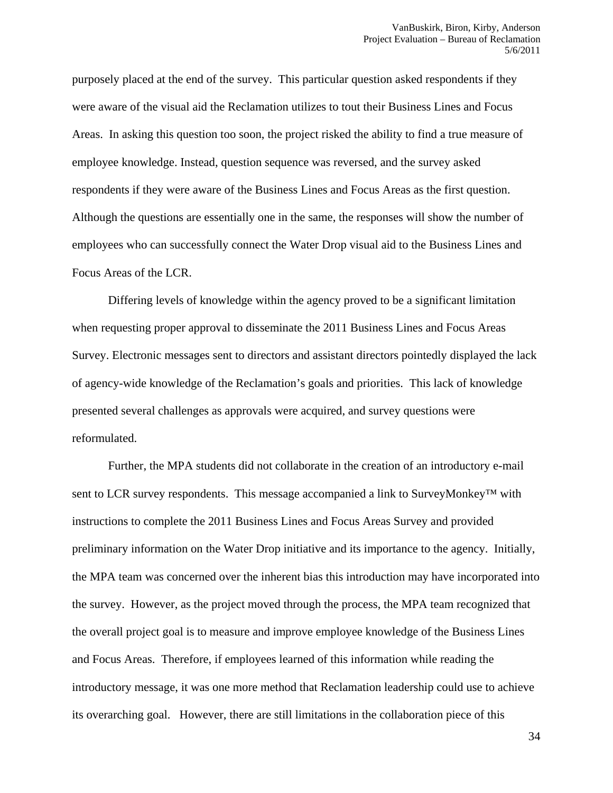purposely placed at the end of the survey. This particular question asked respondents if they were aware of the visual aid the Reclamation utilizes to tout their Business Lines and Focus Areas. In asking this question too soon, the project risked the ability to find a true measure of employee knowledge. Instead, question sequence was reversed, and the survey asked respondents if they were aware of the Business Lines and Focus Areas as the first question. Although the questions are essentially one in the same, the responses will show the number of employees who can successfully connect the Water Drop visual aid to the Business Lines and Focus Areas of the LCR.

Differing levels of knowledge within the agency proved to be a significant limitation when requesting proper approval to disseminate the 2011 Business Lines and Focus Areas Survey. Electronic messages sent to directors and assistant directors pointedly displayed the lack of agency-wide knowledge of the Reclamation's goals and priorities. This lack of knowledge presented several challenges as approvals were acquired, and survey questions were reformulated.

Further, the MPA students did not collaborate in the creation of an introductory e-mail sent to LCR survey respondents. This message accompanied a link to SurveyMonkey<sup>TM</sup> with instructions to complete the 2011 Business Lines and Focus Areas Survey and provided preliminary information on the Water Drop initiative and its importance to the agency. Initially, the MPA team was concerned over the inherent bias this introduction may have incorporated into the survey. However, as the project moved through the process, the MPA team recognized that the overall project goal is to measure and improve employee knowledge of the Business Lines and Focus Areas. Therefore, if employees learned of this information while reading the introductory message, it was one more method that Reclamation leadership could use to achieve its overarching goal. However, there are still limitations in the collaboration piece of this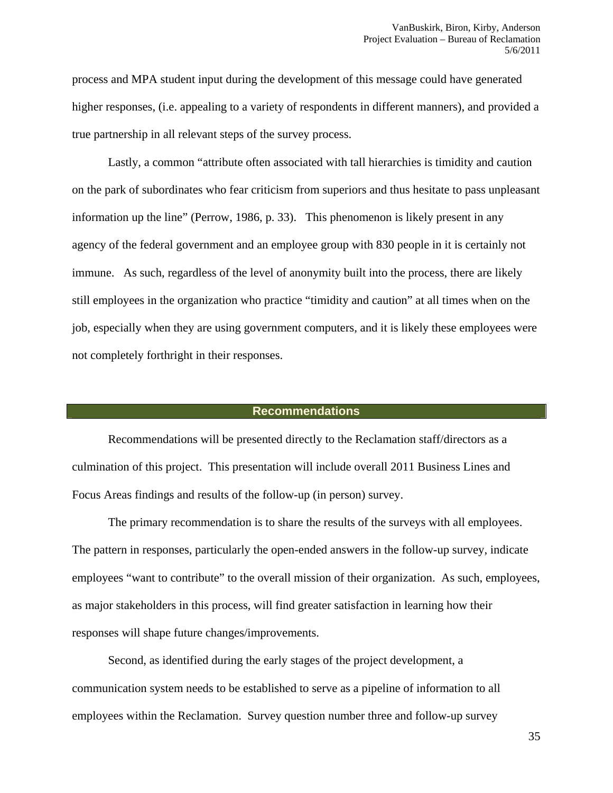process and MPA student input during the development of this message could have generated higher responses, (i.e. appealing to a variety of respondents in different manners), and provided a true partnership in all relevant steps of the survey process.

Lastly, a common "attribute often associated with tall hierarchies is timidity and caution on the park of subordinates who fear criticism from superiors and thus hesitate to pass unpleasant information up the line" (Perrow, 1986, p. 33). This phenomenon is likely present in any agency of the federal government and an employee group with 830 people in it is certainly not immune. As such, regardless of the level of anonymity built into the process, there are likely still employees in the organization who practice "timidity and caution" at all times when on the job, especially when they are using government computers, and it is likely these employees were not completely forthright in their responses.

#### **Recommendations**

Recommendations will be presented directly to the Reclamation staff/directors as a culmination of this project. This presentation will include overall 2011 Business Lines and Focus Areas findings and results of the follow-up (in person) survey.

The primary recommendation is to share the results of the surveys with all employees. The pattern in responses, particularly the open-ended answers in the follow-up survey, indicate employees "want to contribute" to the overall mission of their organization. As such, employees, as major stakeholders in this process, will find greater satisfaction in learning how their responses will shape future changes/improvements.

Second, as identified during the early stages of the project development, a communication system needs to be established to serve as a pipeline of information to all employees within the Reclamation. Survey question number three and follow-up survey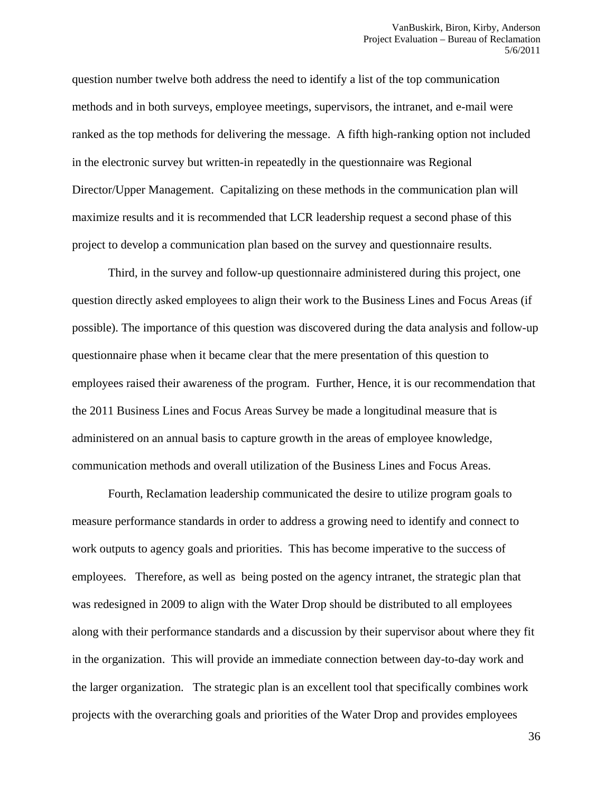question number twelve both address the need to identify a list of the top communication methods and in both surveys, employee meetings, supervisors, the intranet, and e-mail were ranked as the top methods for delivering the message. A fifth high-ranking option not included in the electronic survey but written-in repeatedly in the questionnaire was Regional Director/Upper Management. Capitalizing on these methods in the communication plan will maximize results and it is recommended that LCR leadership request a second phase of this project to develop a communication plan based on the survey and questionnaire results.

Third, in the survey and follow-up questionnaire administered during this project, one question directly asked employees to align their work to the Business Lines and Focus Areas (if possible). The importance of this question was discovered during the data analysis and follow-up questionnaire phase when it became clear that the mere presentation of this question to employees raised their awareness of the program. Further, Hence, it is our recommendation that the 2011 Business Lines and Focus Areas Survey be made a longitudinal measure that is administered on an annual basis to capture growth in the areas of employee knowledge, communication methods and overall utilization of the Business Lines and Focus Areas.

Fourth, Reclamation leadership communicated the desire to utilize program goals to measure performance standards in order to address a growing need to identify and connect to work outputs to agency goals and priorities. This has become imperative to the success of employees. Therefore, as well as being posted on the agency intranet, the strategic plan that was redesigned in 2009 to align with the Water Drop should be distributed to all employees along with their performance standards and a discussion by their supervisor about where they fit in the organization. This will provide an immediate connection between day-to-day work and the larger organization. The strategic plan is an excellent tool that specifically combines work projects with the overarching goals and priorities of the Water Drop and provides employees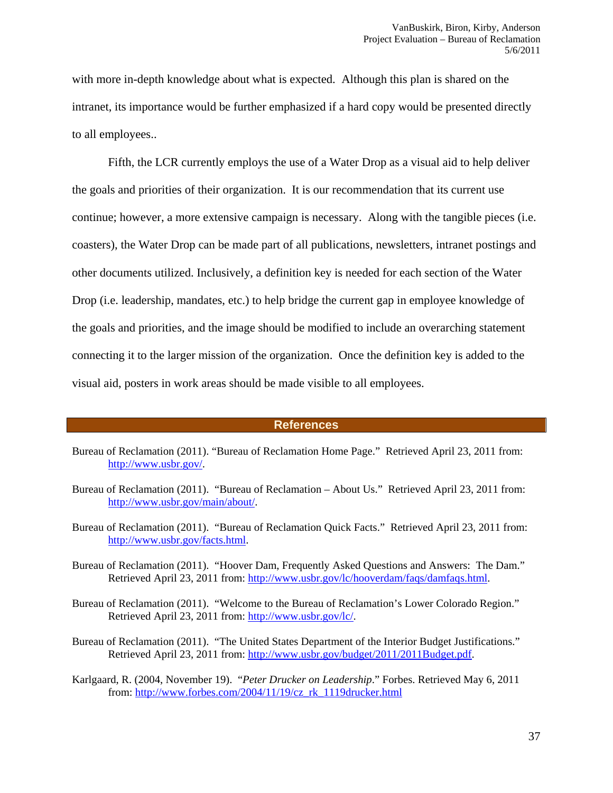with more in-depth knowledge about what is expected. Although this plan is shared on the intranet, its importance would be further emphasized if a hard copy would be presented directly to all employees..

Fifth, the LCR currently employs the use of a Water Drop as a visual aid to help deliver the goals and priorities of their organization. It is our recommendation that its current use continue; however, a more extensive campaign is necessary. Along with the tangible pieces (i.e. coasters), the Water Drop can be made part of all publications, newsletters, intranet postings and other documents utilized. Inclusively, a definition key is needed for each section of the Water Drop (i.e. leadership, mandates, etc.) to help bridge the current gap in employee knowledge of the goals and priorities, and the image should be modified to include an overarching statement connecting it to the larger mission of the organization. Once the definition key is added to the visual aid, posters in work areas should be made visible to all employees.

#### **References**

- Bureau of Reclamation (2011). "Bureau of Reclamation Home Page." Retrieved April 23, 2011 from: http://www.usbr.gov/.
- Bureau of Reclamation (2011). "Bureau of Reclamation About Us." Retrieved April 23, 2011 from: http://www.usbr.gov/main/about/.
- Bureau of Reclamation (2011). "Bureau of Reclamation Quick Facts." Retrieved April 23, 2011 from: http://www.usbr.gov/facts.html.
- Bureau of Reclamation (2011). "Hoover Dam, Frequently Asked Questions and Answers: The Dam." Retrieved April 23, 2011 from: http://www.usbr.gov/lc/hooverdam/faqs/damfaqs.html.
- Bureau of Reclamation (2011). "Welcome to the Bureau of Reclamation's Lower Colorado Region." Retrieved April 23, 2011 from: http://www.usbr.gov/lc/.
- Bureau of Reclamation (2011). "The United States Department of the Interior Budget Justifications." Retrieved April 23, 2011 from: http://www.usbr.gov/budget/2011/2011Budget.pdf.
- Karlgaard, R. (2004, November 19). "*Peter Drucker on Leadership*." Forbes. Retrieved May 6, 2011 from: http://www.forbes.com/2004/11/19/cz\_rk\_1119drucker.html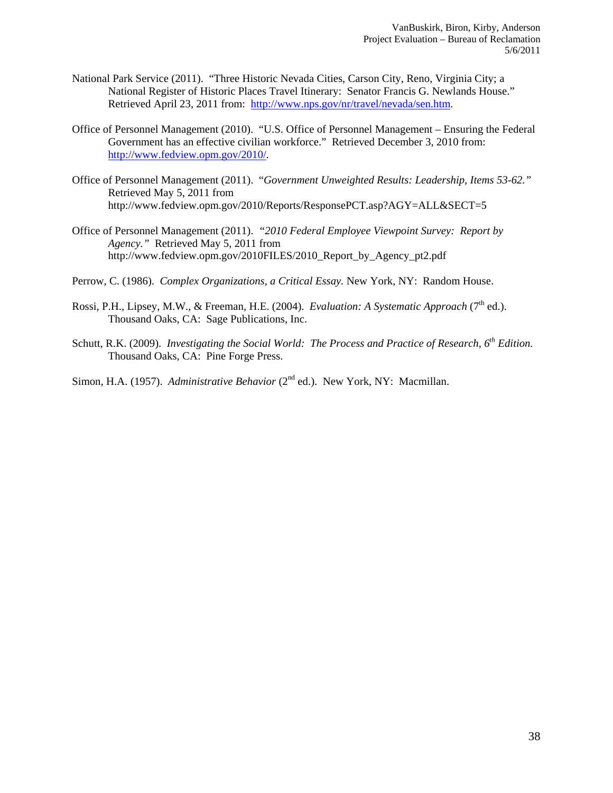- National Park Service (2011). "Three Historic Nevada Cities, Carson City, Reno, Virginia City; a National Register of Historic Places Travel Itinerary: Senator Francis G. Newlands House." Retrieved April 23, 2011 from: http://www.nps.gov/nr/travel/nevada/sen.htm.
- Office of Personnel Management (2010). "U.S. Office of Personnel Management Ensuring the Federal Government has an effective civilian workforce." Retrieved December 3, 2010 from: http://www.fedview.opm.gov/2010/.
- Office of Personnel Management (2011). "*Government Unweighted Results: Leadership, Items 53-62."* Retrieved May 5, 2011 from http://www.fedview.opm.gov/2010/Reports/ResponsePCT.asp?AGY=ALL&SECT=5
- Office of Personnel Management (2011). *"2010 Federal Employee Viewpoint Survey: Report by Agency."* Retrieved May 5, 2011 from http://www.fedview.opm.gov/2010FILES/2010\_Report\_by\_Agency\_pt2.pdf
- Perrow, C. (1986). *Complex Organizations, a Critical Essay.* New York, NY: Random House.
- Rossi, P.H., Lipsey, M.W., & Freeman, H.E. (2004). *Evaluation: A Systematic Approach* (7<sup>th</sup> ed.). Thousand Oaks, CA: Sage Publications, Inc.
- Schutt, R.K. (2009). *Investigating the Social World: The Process and Practice of Research, 6th Edition.*  Thousand Oaks, CA: Pine Forge Press.

Simon, H.A. (1957). *Administrative Behavior* (2<sup>nd</sup> ed.). New York, NY: Macmillan.